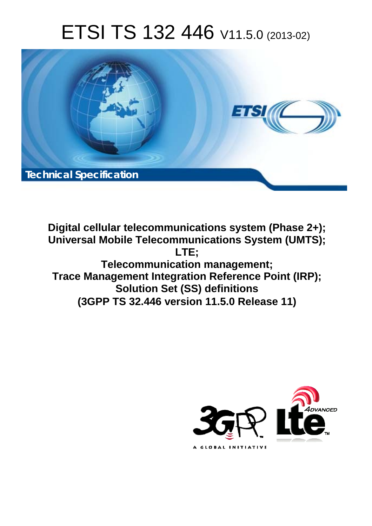# ETSI TS 132 446 V11.5.0 (2013-02)



**Digital cellular telecommunications system (Phase 2+); Universal Mobile Telecommunications System (UMTS); LTE; Telecommunication management; Trace Management Integration Reference Point (IRP); Solution Set (SS) definitions (3GPP TS 32.446 version 11.5.0 Release 11)** 

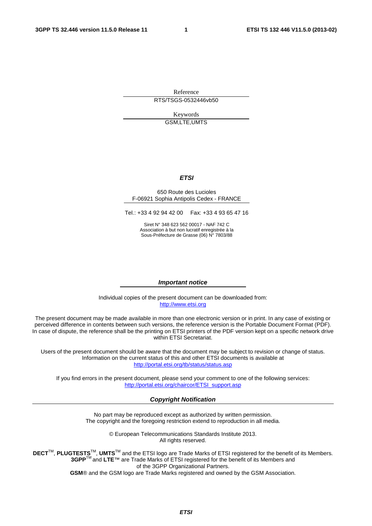Reference RTS/TSGS-0532446vb50

> Keywords GSM,LTE,UMTS

#### *ETSI*

#### 650 Route des Lucioles F-06921 Sophia Antipolis Cedex - FRANCE

Tel.: +33 4 92 94 42 00 Fax: +33 4 93 65 47 16

Siret N° 348 623 562 00017 - NAF 742 C Association à but non lucratif enregistrée à la Sous-Préfecture de Grasse (06) N° 7803/88

#### *Important notice*

Individual copies of the present document can be downloaded from: [http://www.etsi.org](http://www.etsi.org/)

The present document may be made available in more than one electronic version or in print. In any case of existing or perceived difference in contents between such versions, the reference version is the Portable Document Format (PDF). In case of dispute, the reference shall be the printing on ETSI printers of the PDF version kept on a specific network drive within ETSI Secretariat.

Users of the present document should be aware that the document may be subject to revision or change of status. Information on the current status of this and other ETSI documents is available at <http://portal.etsi.org/tb/status/status.asp>

If you find errors in the present document, please send your comment to one of the following services: [http://portal.etsi.org/chaircor/ETSI\\_support.asp](http://portal.etsi.org/chaircor/ETSI_support.asp)

#### *Copyright Notification*

No part may be reproduced except as authorized by written permission. The copyright and the foregoing restriction extend to reproduction in all media.

> © European Telecommunications Standards Institute 2013. All rights reserved.

**DECT**TM, **PLUGTESTS**TM, **UMTS**TM and the ETSI logo are Trade Marks of ETSI registered for the benefit of its Members. **3GPP**TM and **LTE**™ are Trade Marks of ETSI registered for the benefit of its Members and of the 3GPP Organizational Partners.

**GSM**® and the GSM logo are Trade Marks registered and owned by the GSM Association.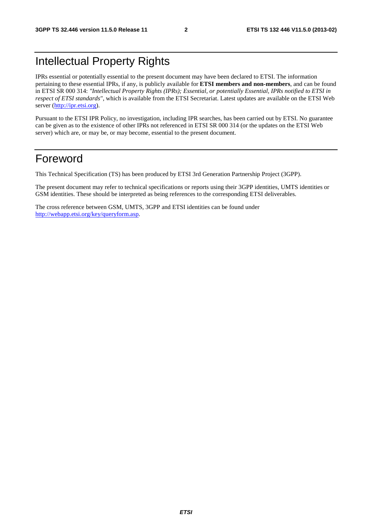## Intellectual Property Rights

IPRs essential or potentially essential to the present document may have been declared to ETSI. The information pertaining to these essential IPRs, if any, is publicly available for **ETSI members and non-members**, and can be found in ETSI SR 000 314: *"Intellectual Property Rights (IPRs); Essential, or potentially Essential, IPRs notified to ETSI in respect of ETSI standards"*, which is available from the ETSI Secretariat. Latest updates are available on the ETSI Web server [\(http://ipr.etsi.org](http://webapp.etsi.org/IPR/home.asp)).

Pursuant to the ETSI IPR Policy, no investigation, including IPR searches, has been carried out by ETSI. No guarantee can be given as to the existence of other IPRs not referenced in ETSI SR 000 314 (or the updates on the ETSI Web server) which are, or may be, or may become, essential to the present document.

## Foreword

This Technical Specification (TS) has been produced by ETSI 3rd Generation Partnership Project (3GPP).

The present document may refer to technical specifications or reports using their 3GPP identities, UMTS identities or GSM identities. These should be interpreted as being references to the corresponding ETSI deliverables.

The cross reference between GSM, UMTS, 3GPP and ETSI identities can be found under [http://webapp.etsi.org/key/queryform.asp.](http://webapp.etsi.org/key/queryform.asp)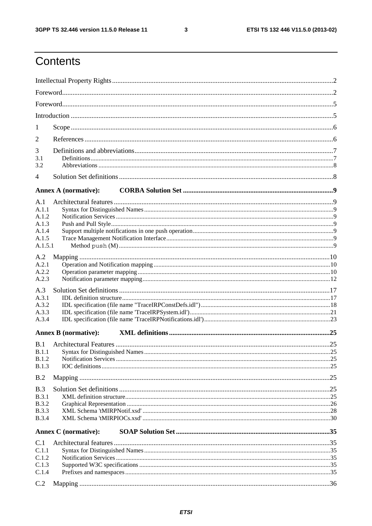$\mathbf{3}$ 

## Contents

| 1              |                             |  |
|----------------|-----------------------------|--|
| 2              |                             |  |
| 3              |                             |  |
| 3.1            |                             |  |
| 3.2            |                             |  |
| 4              |                             |  |
|                | <b>Annex A (normative):</b> |  |
| A.1            |                             |  |
| A.1.1<br>A.1.2 |                             |  |
| A.1.3          |                             |  |
| A.1.4          |                             |  |
| A.1.5          |                             |  |
| A.1.5.1        |                             |  |
| A.2            |                             |  |
| A.2.1          |                             |  |
| A.2.2          |                             |  |
| A.2.3          |                             |  |
| A.3            |                             |  |
| A.3.1          |                             |  |
| A.3.2          |                             |  |
| A.3.3          |                             |  |
| A.3.4          |                             |  |
|                | <b>Annex B</b> (normative): |  |
| B.1            |                             |  |
| <b>B.1.1</b>   |                             |  |
| <b>B.1.2</b>   |                             |  |
| <b>B.1.3</b>   |                             |  |
| B.2            |                             |  |
| B.3            |                             |  |
| B.3.1          |                             |  |
| <b>B.3.2</b>   |                             |  |
| <b>B.3.3</b>   |                             |  |
| <b>B.3.4</b>   |                             |  |
|                | <b>Annex C</b> (normative): |  |
| C.1            |                             |  |
| C.1.1          |                             |  |
| C.1.2          |                             |  |
| C.1.3          |                             |  |
| C.1.4          |                             |  |
| C.2            |                             |  |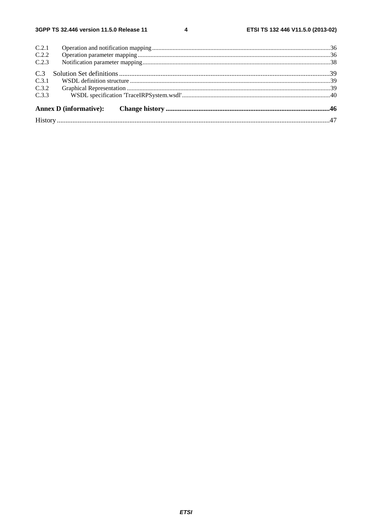$\overline{\mathbf{4}}$ 

| C.2.1 |                               |  |
|-------|-------------------------------|--|
| C.2.2 |                               |  |
| C.2.3 |                               |  |
| C.3   |                               |  |
| C.3.1 |                               |  |
| C.3.2 |                               |  |
| C.3.3 |                               |  |
|       | <b>Annex D</b> (informative): |  |
|       |                               |  |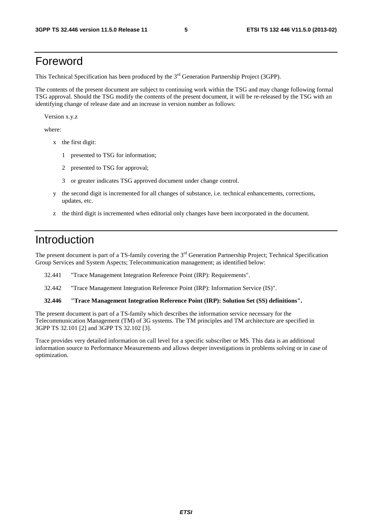## Foreword

This Technical Specification has been produced by the 3<sup>rd</sup> Generation Partnership Project (3GPP).

The contents of the present document are subject to continuing work within the TSG and may change following formal TSG approval. Should the TSG modify the contents of the present document, it will be re-released by the TSG with an identifying change of release date and an increase in version number as follows:

Version x.y.z

where:

- x the first digit:
	- 1 presented to TSG for information;
	- 2 presented to TSG for approval;
	- 3 or greater indicates TSG approved document under change control.
- y the second digit is incremented for all changes of substance, i.e. technical enhancements, corrections, updates, etc.
- z the third digit is incremented when editorial only changes have been incorporated in the document.

## Introduction

The present document is part of a TS-family covering the 3<sup>rd</sup> Generation Partnership Project; Technical Specification Group Services and System Aspects; Telecommunication management; as identified below:

- 32.441 "Trace Management Integration Reference Point (IRP): Requirements".
- 32.442 "Trace Management Integration Reference Point (IRP): Information Service (IS)".

#### **32.446 "Trace Management Integration Reference Point (IRP): Solution Set (SS) definitions".**

The present document is part of a TS-family which describes the information service necessary for the Telecommunication Management (TM) of 3G systems. The TM principles and TM architecture are specified in 3GPP TS 32.101 [2] and 3GPP TS 32.102 [3].

Trace provides very detailed information on call level for a specific subscriber or MS. This data is an additional information source to Performance Measurements and allows deeper investigations in problems solving or in case of optimization.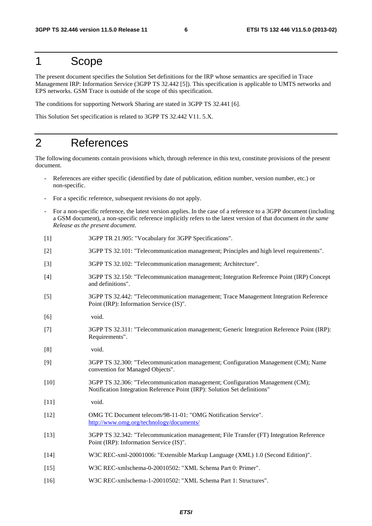## 1 Scope

The present document specifies the Solution Set definitions for the IRP whose semantics are specified in Trace Management IRP: Information Service (3GPP TS 32.442 [5]). This specification is applicable to UMTS networks and EPS networks. GSM Trace is outside of the scope of this specification.

The conditions for supporting Network Sharing are stated in 3GPP TS 32.441 [6].

This Solution Set specification is related to 3GPP TS 32.442 V11. 5.X.

## 2 References

The following documents contain provisions which, through reference in this text, constitute provisions of the present document.

- References are either specific (identified by date of publication, edition number, version number, etc.) or non-specific.
- For a specific reference, subsequent revisions do not apply.
- For a non-specific reference, the latest version applies. In the case of a reference to a 3GPP document (including a GSM document), a non-specific reference implicitly refers to the latest version of that document *in the same Release as the present document*.
- [1] 3GPP TR 21.905: "Vocabulary for 3GPP Specifications".
- [2] 3GPP TS 32.101: "Telecommunication management; Principles and high level requirements".
- [3] 3GPP TS 32.102: "Telecommunication management; Architecture".
- [4] 3GPP TS 32.150: "Telecommunication management; Integration Reference Point (IRP) Concept and definitions".
- [5] 3GPP TS 32.442: "Telecommunication management; Trace Management Integration Reference Point (IRP): Information Service (IS)".
- [6] void.
- [7] 3GPP TS 32.311: "Telecommunication management; Generic Integration Reference Point (IRP): Requirements".
- [8] void.
- [9] 3GPP TS 32.300: "Telecommunication management; Configuration Management (CM); Name convention for Managed Objects".
- [10] 3GPP TS 32.306: "Telecommunication management; Configuration Management (CM); Notification Integration Reference Point (IRP): Solution Set definitions"
- [11] void.
- [12] OMG TC Document telecom/98-11-01: "OMG Notification Service". <http://www.omg.org/technology/documents/>
- [13] 3GPP TS 32.342: "Telecommunication management; File Transfer (FT) Integration Reference Point (IRP): Information Service (IS)".
- [14] W3C REC-xml-20001006: "Extensible Markup Language (XML) 1.0 (Second Edition)".
- [15] W3C REC-xmlschema-0-20010502: "XML Schema Part 0: Primer".
- [16] W3C REC-xmlschema-1-20010502: "XML Schema Part 1: Structures".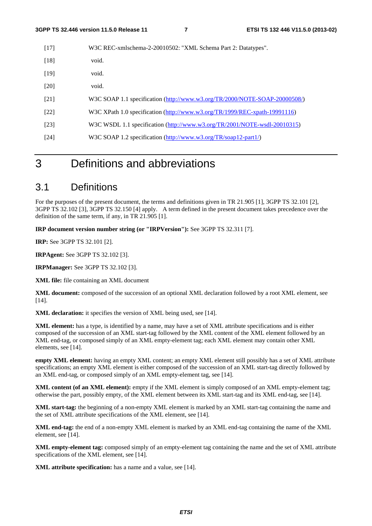| $[17]$ | W3C REC-xmlschema-2-20010502: "XML Schema Part 2: Datatypes".              |
|--------|----------------------------------------------------------------------------|
| $[18]$ | void.                                                                      |
| $[19]$ | void.                                                                      |
| [20]   | void.                                                                      |
| [21]   | W3C SOAP 1.1 specification (http://www.w3.org/TR/2000/NOTE-SOAP-20000508/) |
| $[22]$ | W3C XPath 1.0 specification (http://www.w3.org/TR/1999/REC-xpath-19991116) |
| $[23]$ | W3C WSDL 1.1 specification (http://www.w3.org/TR/2001/NOTE-wsdl-20010315)  |
| [24]   | W3C SOAP 1.2 specification (http://www.w3.org/TR/soap12-part1/)            |
|        |                                                                            |

## 3 Definitions and abbreviations

#### 3.1 Definitions

For the purposes of the present document, the terms and definitions given in TR 21.905 [1], 3GPP TS 32.101 [2], 3GPP TS 32.102 [3], 3GPP TS 32.150 [4] apply. A term defined in the present document takes precedence over the definition of the same term, if any, in TR 21.905 [1].

**IRP document version number string (or "IRPVersion"):** See 3GPP TS 32.311 [7].

**IRP:** See 3GPP TS 32.101 [2].

**IRPAgent:** See 3GPP TS 32.102 [3].

**IRPManager:** See 3GPP TS 32.102 [3].

**XML file:** file containing an XML document

**XML document:** composed of the succession of an optional XML declaration followed by a root XML element, see [14].

**XML declaration:** it specifies the version of XML being used, see [14].

**XML element:** has a type, is identified by a name, may have a set of XML attribute specifications and is either composed of the succession of an XML start-tag followed by the XML content of the XML element followed by an XML end-tag, or composed simply of an XML empty-element tag; each XML element may contain other XML elements, see [14].

**empty XML element:** having an empty XML content; an empty XML element still possibly has a set of XML attribute specifications; an empty XML element is either composed of the succession of an XML start-tag directly followed by an XML end-tag, or composed simply of an XML empty-element tag, see [14].

**XML content (of an XML element):** empty if the XML element is simply composed of an XML empty-element tag; otherwise the part, possibly empty, of the XML element between its XML start-tag and its XML end-tag, see [14].

**XML start-tag:** the beginning of a non-empty XML element is marked by an XML start-tag containing the name and the set of XML attribute specifications of the XML element, see [14].

**XML end-tag:** the end of a non-empty XML element is marked by an XML end-tag containing the name of the XML element, see [14].

**XML empty-element tag:** composed simply of an empty-element tag containing the name and the set of XML attribute specifications of the XML element, see [14].

**XML attribute specification:** has a name and a value, see [14].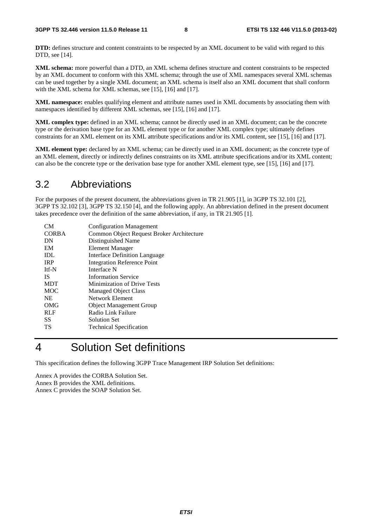**DTD:** defines structure and content constraints to be respected by an XML document to be valid with regard to this DTD, see [14].

**XML schema:** more powerful than a DTD, an XML schema defines structure and content constraints to be respected by an XML document to conform with this XML schema; through the use of XML namespaces several XML schemas can be used together by a single XML document; an XML schema is itself also an XML document that shall conform with the XML schema for XML schemas, see [15], [16] and [17].

**XML namespace:** enables qualifying element and attribute names used in XML documents by associating them with namespaces identified by different XML schemas, see [15], [16] and [17].

**XML complex type:** defined in an XML schema; cannot be directly used in an XML document; can be the concrete type or the derivation base type for an XML element type or for another XML complex type; ultimately defines constraints for an XML element on its XML attribute specifications and/or its XML content, see [15], [16] and [17].

**XML element type:** declared by an XML schema; can be directly used in an XML document; as the concrete type of an XML element, directly or indirectly defines constraints on its XML attribute specifications and/or its XML content; can also be the concrete type or the derivation base type for another XML element type, see [15], [16] and [17].

#### 3.2 Abbreviations

For the purposes of the present document, the abbreviations given in TR 21.905 [1], in 3GPP TS 32.101 [2], 3GPP TS 32.102 [3], 3GPP TS 32.150 [4], and the following apply. An abbreviation defined in the present document takes precedence over the definition of the same abbreviation, if any, in TR 21.905 [1].

| CМ           | <b>Configuration Management</b>           |
|--------------|-------------------------------------------|
| <b>CORBA</b> | Common Object Request Broker Architecture |
| DN           | Distinguished Name                        |
| EM           | <b>Element Manager</b>                    |
| IDL          | Interface Definition Language             |
| <b>IRP</b>   | <b>Integration Reference Point</b>        |
| Itf-N        | Interface N                               |
| <b>IS</b>    | <b>Information Service</b>                |
| <b>MDT</b>   | Minimization of Drive Tests               |
| <b>MOC</b>   | <b>Managed Object Class</b>               |
| <b>NE</b>    | Network Element                           |
| OMG          | <b>Object Management Group</b>            |
| <b>RLF</b>   | Radio Link Failure                        |
| SS.          | Solution Set                              |
| TS           | <b>Technical Specification</b>            |
|              |                                           |

## 4 Solution Set definitions

This specification defines the following 3GPP Trace Management IRP Solution Set definitions:

Annex A provides the CORBA Solution Set. Annex B provides the XML definitions. Annex C provides the SOAP Solution Set.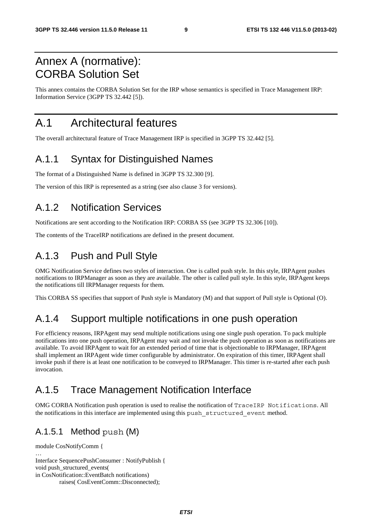## Annex A (normative): CORBA Solution Set

This annex contains the CORBA Solution Set for the IRP whose semantics is specified in Trace Management IRP: Information Service (3GPP TS 32.442 [5]).

## A.1 Architectural features

The overall architectural feature of Trace Management IRP is specified in 3GPP TS 32.442 [5].

### A.1.1 Syntax for Distinguished Names

The format of a Distinguished Name is defined in 3GPP TS 32.300 [9].

The version of this IRP is represented as a string (see also clause 3 for versions).

### A.1.2 Notification Services

Notifications are sent according to the Notification IRP: CORBA SS (see 3GPP TS 32.306 [10]).

The contents of the TraceIRP notifications are defined in the present document.

### A.1.3 Push and Pull Style

OMG Notification Service defines two styles of interaction. One is called push style. In this style, IRPAgent pushes notifications to IRPManager as soon as they are available. The other is called pull style. In this style, IRPAgent keeps the notifications till IRPManager requests for them.

This CORBA SS specifies that support of Push style is Mandatory (M) and that support of Pull style is Optional (O).

### A.1.4 Support multiple notifications in one push operation

For efficiency reasons, IRPAgent may send multiple notifications using one single push operation. To pack multiple notifications into one push operation, IRPAgent may wait and not invoke the push operation as soon as notifications are available. To avoid IRPAgent to wait for an extended period of time that is objectionable to IRPManager, IRPAgent shall implement an IRPAgent wide timer configurable by administrator. On expiration of this timer, IRPAgent shall invoke push if there is at least one notification to be conveyed to IRPManager. This timer is re-started after each push invocation.

## A.1.5 Trace Management Notification Interface

OMG CORBA Notification push operation is used to realise the notification of TraceIRP Notifications. All the notifications in this interface are implemented using this push\_structured\_event method.

#### A.1.5.1 Method push (M)

```
module CosNotifyComm { 
… 
Interface SequencePushConsumer : NotifyPublish { 
void push_structured_events( 
in CosNotification::EventBatch notifications) 
          raises( CosEventComm::Disconnected);
```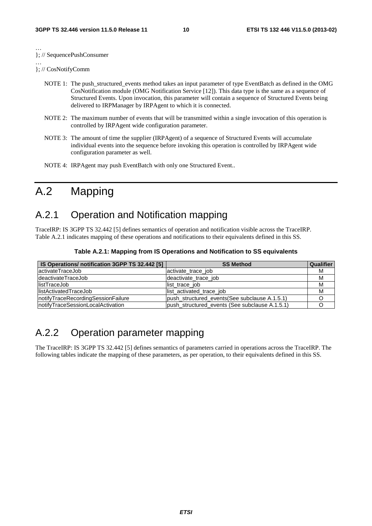… }; // SequencePushConsumer

… }; // CosNotifyComm

- NOTE 1: The push structured events method takes an input parameter of type EventBatch as defined in the OMG CosNotification module (OMG Notification Service [12]). This data type is the same as a sequence of Structured Events. Upon invocation, this parameter will contain a sequence of Structured Events being delivered to IRPManager by IRPAgent to which it is connected.
- NOTE 2: The maximum number of events that will be transmitted within a single invocation of this operation is controlled by IRPAgent wide configuration parameter.
- NOTE 3: The amount of time the supplier (IRPAgent) of a sequence of Structured Events will accumulate individual events into the sequence before invoking this operation is controlled by IRPAgent wide configuration parameter as well.
- NOTE 4: IRPAgent may push EventBatch with only one Structured Event..

## A.2 Mapping

### A.2.1 Operation and Notification mapping

TraceIRP: IS 3GPP TS 32.442 [5] defines semantics of operation and notification visible across the TraceIRP. Table A.2.1 indicates mapping of these operations and notifications to their equivalents defined in this SS.

| IS Operations/ notification 3GPP TS 32.442 [5] | <b>SS Method</b>                               | <b>Qualifier</b> |
|------------------------------------------------|------------------------------------------------|------------------|
| lactivateTraceJob                              | activate trace job                             | м                |
| IdeactivateTraceJob                            | deactivate trace job                           | М                |
| listTraceJob                                   | list trace job                                 | M                |
| <b>IlistActivatedTraceJob</b>                  | list activated trace job                       | M                |
| InotifyTraceRecordingSessionFailure            | push structured events (See subclause A.1.5.1) |                  |
| InotifyTraceSessionLocalActivation             | push structured events (See subclause A.1.5.1) |                  |

**Table A.2.1: Mapping from IS Operations and Notification to SS equivalents** 

## A.2.2 Operation parameter mapping

The TraceIRP: IS 3GPP TS 32.442 [5] defines semantics of parameters carried in operations across the TraceIRP. The following tables indicate the mapping of these parameters, as per operation, to their equivalents defined in this SS.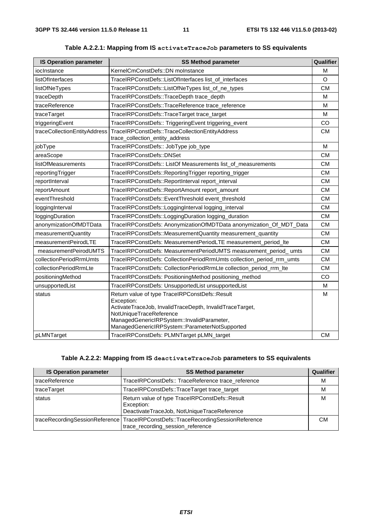| <b>IS Operation parameter</b> | <b>SS Method parameter</b>                                                                                                                                                                                                                          | Qualifier |
|-------------------------------|-----------------------------------------------------------------------------------------------------------------------------------------------------------------------------------------------------------------------------------------------------|-----------|
| iocInstance                   | KernelCmConstDefs::DN moInstance                                                                                                                                                                                                                    | M         |
| listOfInterfaces              | TraceIRPConstDefs::ListOfInterfaces list_of_interfaces                                                                                                                                                                                              | O         |
| listOfNeTypes                 | TraceIRPConstDefs::ListOfNeTypes list_of_ne_types                                                                                                                                                                                                   | <b>CM</b> |
| traceDepth                    | TraceIRPConstDefs::TraceDepth trace_depth                                                                                                                                                                                                           | M         |
| traceReference                | TraceIRPConstDefs::TraceReference trace_reference                                                                                                                                                                                                   | M         |
| traceTarget                   | TraceIRPConstDefs::TraceTarget trace_target                                                                                                                                                                                                         | M         |
| triggeringEvent               | TraceIRPConstDefs:: TriggeringEvent triggering_event                                                                                                                                                                                                | CO        |
| traceCollectionEntityAddress  | TraceIRPConstDefs::TraceCollectionEntityAddress<br>trace_collection_entity_address                                                                                                                                                                  | <b>CM</b> |
| jobType                       | TraceIRPConstDefs:: JobType job_type                                                                                                                                                                                                                | M         |
| areaScope                     | TraceIRPConstDefs::DNSet                                                                                                                                                                                                                            | <b>CM</b> |
| listOfMeasurements            | TraceIRPConstDefs:: ListOf Measurements list_of_measurements                                                                                                                                                                                        | <b>CM</b> |
| reportingTrigger              | TraceIRPConstDefs::ReportingTrigger reporting_trigger                                                                                                                                                                                               | <b>CM</b> |
| reportInterval                | TraceIRPConstDefs::ReportInterval report_interval                                                                                                                                                                                                   | <b>CM</b> |
| reportAmount                  | TraceIRPConstDefs::ReportAmount report_amount                                                                                                                                                                                                       | <b>CM</b> |
| eventThreshold                | TraceIRPConstDefs::EventThreshold event_threshold                                                                                                                                                                                                   | <b>CM</b> |
| loggingInterval               | TraceIRPConstDefs::LoggingInterval logging_interval                                                                                                                                                                                                 | <b>CM</b> |
| loggingDuration               | TraceIRPConstDefs::LoggingDuration logging_duration                                                                                                                                                                                                 | <b>CM</b> |
| anonymizationOfMDTData        | TraceIRPConstDefs: AnonymizationOfMDTData anonymization_Of_MDT_Data                                                                                                                                                                                 | <b>CM</b> |
| measurementQuantity           | TraceIRPConstDefs::MeasurementQuantity measurement_quantity                                                                                                                                                                                         | <b>CM</b> |
| measurementPeirodLTE          | TraceIRPConstDefs: MeasurementPeriodLTE measurement_period_Ite                                                                                                                                                                                      | <b>CM</b> |
| measurementPeirodUMTS         | TraceIRPConstDefs: MeasurementPeriodUMTS measurement_period_umts                                                                                                                                                                                    | <b>CM</b> |
| collectionPeriodRrmUmts       | TraceIRPConstDefs: CollectionPeriodRrmUmts collection_period_rrm_umts                                                                                                                                                                               | <b>CM</b> |
| collectionPeriodRrmLte        | TraceIRPConstDefs: CollectionPeriodRrmLte collection_period_rrm_lte                                                                                                                                                                                 | <b>CM</b> |
| positioningMethod             | TraceIRPConstDefs: PositioningMethod positioning_method                                                                                                                                                                                             | CO        |
| unsupportedList               | TraceIRPConstDefs: UnsupportedList unsupportedList                                                                                                                                                                                                  | M         |
| status                        | Return value of type TraceIRPConstDefs::Result<br>Exception:<br>ActivateTraceJob, InvalidTraceDepth, InvalidTraceTarget,<br>NotUniqueTraceReference<br>ManagedGenericlRPSystem::InvalidParameter,<br>ManagedGenericIRPSystem::ParameterNotSupported | M         |
| pLMNTarget                    | TraceIRPConstDefs: PLMNTarget pLMN_target                                                                                                                                                                                                           | <b>CM</b> |

#### **Table A.2.2.1: Mapping from IS activateTraceJob parameters to SS equivalents**

#### **Table A.2.2.2: Mapping from IS deactivateTraceJob parameters to SS equivalents**

| <b>IS Operation parameter</b> | <b>SS Method parameter</b>                                                                                              | Qualifier |
|-------------------------------|-------------------------------------------------------------------------------------------------------------------------|-----------|
| traceReference                | TraceIRPConstDefs:: TraceReference trace_reference                                                                      | м         |
| traceTarget                   | TraceIRPConstDefs::TraceTarget trace_target                                                                             | M         |
| status                        | Return value of type TraceIRPConstDefs::Result<br>Exception:<br>DeactivateTraceJob, NotUniqueTraceReference             | м         |
|                               | traceRecordingSessionReference   TraceIRPConstDefs::TraceRecordingSessionReference<br>trace_recording_session_reference | CМ        |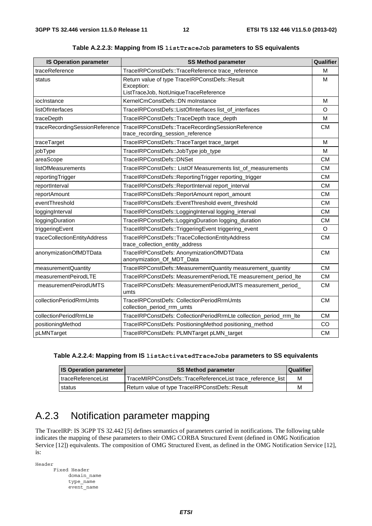| <b>IS Operation parameter</b>  | <b>SS Method parameter</b>                                                                            | Qualifier |
|--------------------------------|-------------------------------------------------------------------------------------------------------|-----------|
| traceReference                 | TraceIRPConstDefs::TraceReference trace_reference                                                     | М         |
| status                         | Return value of type TraceIRPConstDefs::Result<br>Exception:<br>ListTraceJob, NotUniqueTraceReference | M         |
| iocInstance                    | KernelCmConstDefs::DN moInstance                                                                      | M         |
| listOfInterfaces               | TraceIRPConstDefs::ListOfInterfaces list_of_interfaces                                                | $\circ$   |
| traceDepth                     | TraceIRPConstDefs::TraceDepth trace_depth                                                             | M         |
| traceRecordingSessionReference | TraceIRPConstDefs::TraceRecordingSessionReference<br>trace_recording_session_reference                | <b>CM</b> |
| traceTarget                    | TraceIRPConstDefs::TraceTarget trace_target                                                           | M         |
| jobType                        | TraceIRPConstDefs::JobType job_type                                                                   | M         |
| areaScope                      | TraceIRPConstDefs::DNSet                                                                              | <b>CM</b> |
| listOfMeasurements             | TraceIRPConstDefs:: ListOf Measurements list_of_measurements                                          | <b>CM</b> |
| reportingTrigger               | TraceIRPConstDefs::ReportingTrigger reporting_trigger                                                 | <b>CM</b> |
| reportInterval                 | TraceIRPConstDefs::ReportInterval report_interval                                                     | <b>CM</b> |
| reportAmount                   | TraceIRPConstDefs::ReportAmount report_amount                                                         | <b>CM</b> |
| eventThreshold                 | TraceIRPConstDefs::EventThreshold event_threshold                                                     | <b>CM</b> |
| loggingInterval                | TraceIRPConstDefs::LoggingInterval logging_interval                                                   | <b>CM</b> |
| loggingDuration                | TraceIRPConstDefs::LoggingDuration logging_duration                                                   | <b>CM</b> |
| triggeringEvent                | TraceIRPConstDefs::TriggeringEvent triggering_event                                                   | O         |
| traceCollectionEntityAddress   | TraceIRPConstDefs::TraceCollectionEntityAddress<br>trace_collection_entity_address                    | <b>CM</b> |
| anonymizationOfMDTData         | TraceIRPConstDefs: AnonymizationOfMDTData<br>anonymization_Of_MDT_Data                                | <b>CM</b> |
| measurementQuantity            | TraceIRPConstDefs::MeasurementQuantity measurement_quantity                                           | <b>CM</b> |
| measurementPeirodLTE           | TraceIRPConstDefs: MeasurementPeriodLTE measurement_period_lte                                        | <b>CM</b> |
| measurementPeirodUMTS          | TraceIRPConstDefs: MeasurementPeriodUMTS measurement_period_<br>umts                                  | <b>CM</b> |
| collectionPeriodRrmUmts        | TraceIRPConstDefs: CollectionPeriodRrmUmts<br>collection_period_rrm_umts                              | <b>CM</b> |
| collectionPeriodRrmLte         | TraceIRPConstDefs: CollectionPeriodRrmLte collection_period_rrm_lte                                   | <b>CM</b> |
| positioningMethod              | TraceIRPConstDefs: PositioningMethod positioning_method                                               | CO        |
| pLMNTarget                     | TraceIRPConstDefs: PLMNTarget pLMN_target                                                             | <b>CM</b> |

**Table A.2.2.3: Mapping from IS listTraceJob parameters to SS equivalents** 

| Table A.2.2.4: Mapping from IS listActivatedTraceJobs parameters to SS equivalents |  |
|------------------------------------------------------------------------------------|--|
|                                                                                    |  |

| <b>IS Operation parameter</b><br><b>SS Method parameter</b> |                                                             | Qualifier |
|-------------------------------------------------------------|-------------------------------------------------------------|-----------|
| l traceReferenceList                                        | TraceMIRPConstDefs::TraceReferenceList trace reference list | M         |
| status                                                      | Return value of type TraceIRPConstDefs::Result              | M         |

## A.2.3 Notification parameter mapping

The TraceIRP: IS 3GPP TS 32.442 [5] defines semantics of parameters carried in notifications. The following table indicates the mapping of these parameters to their OMG CORBA Structured Event (defined in OMG Notification Service [12]) equivalents. The composition of OMG Structured Event, as defined in the OMG Notification Service [12], is:

Header Fixed Header domain\_name type\_name event\_name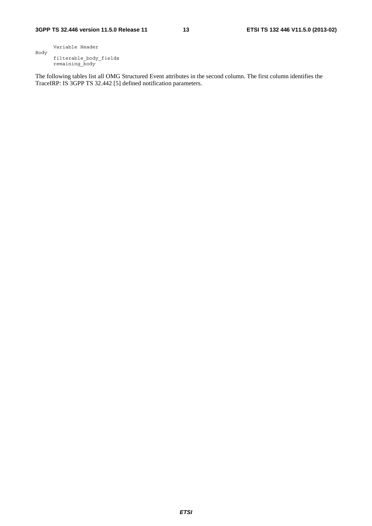Variable Header Body filterable\_body\_fields remaining\_body

The following tables list all OMG Structured Event attributes in the second column. The first column identifies the TraceIRP: IS 3GPP TS 32.442 [5] defined notification parameters.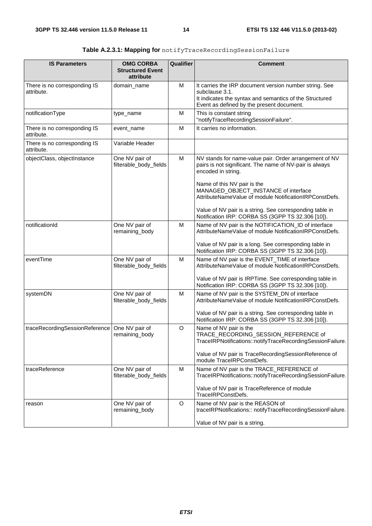| <b>IS Parameters</b>                       | <b>OMG CORBA</b>                         | <b>Qualifier</b> | <b>Comment</b>                                                                                                                                                                   |
|--------------------------------------------|------------------------------------------|------------------|----------------------------------------------------------------------------------------------------------------------------------------------------------------------------------|
|                                            | <b>Structured Event</b><br>attribute     |                  |                                                                                                                                                                                  |
| There is no corresponding IS<br>attribute. | domain_name                              | M                | It carries the IRP document version number string. See<br>subclause 3.1.<br>It indicates the syntax and semantics of the Structured<br>Event as defined by the present document. |
| notificationType                           | type_name                                | М                | This is constant string<br>"notifyTraceRecordingSessionFailure".                                                                                                                 |
| There is no corresponding IS<br>attribute. | event_name                               | M                | It carries no information.                                                                                                                                                       |
| There is no corresponding IS<br>attribute. | Variable Header                          |                  |                                                                                                                                                                                  |
| objectClass, objectInstance                | One NV pair of<br>filterable_body_fields | M                | NV stands for name-value pair. Order arrangement of NV<br>pairs is not significant. The name of NV-pair is always<br>encoded in string.                                          |
|                                            |                                          |                  | Name of this NV pair is the<br>MANAGED_OBJECT_INSTANCE of interface<br>AttributeNameValue of module NotificationIRPConstDefs.                                                    |
|                                            |                                          |                  | Value of NV pair is a string. See corresponding table in<br>Notification IRP: CORBA SS (3GPP TS 32.306 [10]).                                                                    |
| notificationId                             | One NV pair of<br>remaining_body         | M                | Name of NV pair is the NOTIFICATION_ID of interface<br>AttributeNameValue of module NotificationIRPConstDefs.                                                                    |
|                                            |                                          |                  | Value of NV pair is a long. See corresponding table in<br>Notification IRP: CORBA SS (3GPP TS 32.306 [10]).                                                                      |
| eventTime                                  | One NV pair of<br>filterable_body_fields | M                | Name of NV pair is the EVENT_TIME of interface<br>AttributeNameValue of module NotificationIRPConstDefs.                                                                         |
|                                            |                                          |                  | Value of NV pair is IRPTime. See corresponding table in<br>Notification IRP: CORBA SS (3GPP TS 32.306 [10]).                                                                     |
| systemDN                                   | One NV pair of<br>filterable_body_fields | M                | Name of NV pair is the SYSTEM_DN of interface<br>AttributeNameValue of module NotificationIRPConstDefs.                                                                          |
|                                            |                                          |                  | Value of NV pair is a string. See corresponding table in<br>Notification IRP: CORBA SS (3GPP TS 32.306 [10]).                                                                    |
| traceRecordingSessionReference             | One NV pair of<br>remaining_body         | O                | Name of NV pair is the<br>TRACE RECORDING SESSION REFERENCE of<br>TraceIRPNotifications::notifyTraceRecordingSessionFailure.                                                     |
|                                            |                                          |                  | Value of NV pair is TraceRecordingSessionReference of<br>module TraceIRPConstDefs.                                                                                               |
| traceReference                             | One NV pair of<br>filterable_body_fields | м                | Name of NV pair is the TRACE_REFERENCE of<br>TraceIRPNotifications::notifyTraceRecordingSessionFailure.                                                                          |
|                                            |                                          |                  | Value of NV pair is TraceReference of module<br>TraceIRPConstDefs.                                                                                                               |
| reason                                     | One NV pair of<br>remaining_body         | O                | Name of NV pair is the REASON of<br>traceIRPNotifications:: notifyTraceRecordingSessionFailure.                                                                                  |
|                                            |                                          |                  | Value of NV pair is a string.                                                                                                                                                    |

| <b>Table A.2.3.1: Mapping for</b> notifyTraceRecordingSessionFailure |  |
|----------------------------------------------------------------------|--|
|                                                                      |  |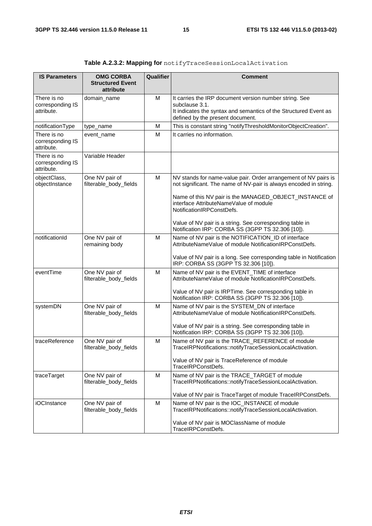| <b>IS Parameters</b>                          | <b>OMG CORBA</b><br><b>Structured Event</b><br>attribute | Qualifier | <b>Comment</b>                                                                                                                                                                   |
|-----------------------------------------------|----------------------------------------------------------|-----------|----------------------------------------------------------------------------------------------------------------------------------------------------------------------------------|
| There is no<br>corresponding IS<br>attribute. | domain_name                                              | M         | It carries the IRP document version number string. See<br>subclause 3.1.<br>It indicates the syntax and semantics of the Structured Event as<br>defined by the present document. |
| notificationType                              | type_name                                                | M         | This is constant string "notifyThresholdMonitorObjectCreation".                                                                                                                  |
| There is no<br>corresponding IS<br>attribute. | event_name                                               | M         | It carries no information.                                                                                                                                                       |
| There is no<br>corresponding IS<br>attribute. | Variable Header                                          |           |                                                                                                                                                                                  |
| objectClass,<br>objectInstance                | One NV pair of<br>filterable_body_fields                 | M         | NV stands for name-value pair. Order arrangement of NV pairs is<br>not significant. The name of NV-pair is always encoded in string.                                             |
|                                               |                                                          |           | Name of this NV pair is the MANAGED_OBJECT_INSTANCE of<br>interface AttributeNameValue of module<br>NotificationIRPConstDefs.                                                    |
|                                               |                                                          |           | Value of NV pair is a string. See corresponding table in<br>Notification IRP: CORBA SS (3GPP TS 32.306 [10]).                                                                    |
| notificationId                                | One NV pair of<br>remaining body                         | M         | Name of NV pair is the NOTIFICATION_ID of interface<br>AttributeNameValue of module NotificationIRPConstDefs.                                                                    |
|                                               |                                                          |           | Value of NV pair is a long. See corresponding table in Notification<br>IRP: CORBA SS (3GPP TS 32.306 [10]).                                                                      |
| eventTime                                     | One NV pair of<br>filterable_body_fields                 | M         | Name of NV pair is the EVENT_TIME of interface<br>AttributeNameValue of module NotificationIRPConstDefs.                                                                         |
|                                               |                                                          |           | Value of NV pair is IRPTime. See corresponding table in<br>Notification IRP: CORBA SS (3GPP TS 32.306 [10]).                                                                     |
| systemDN                                      | One NV pair of<br>filterable_body_fields                 | M         | Name of NV pair is the SYSTEM_DN of interface<br>AttributeNameValue of module NotificationIRPConstDefs.                                                                          |
|                                               |                                                          |           | Value of NV pair is a string. See corresponding table in<br>Notification IRP: CORBA SS (3GPP TS 32.306 [10]).                                                                    |
| traceReference                                | One NV pair of<br>filterable_body_fields                 | M         | Name of NV pair is the TRACE_REFERENCE of module<br>TraceIRPNotifications::notifyTraceSessionLocalActivation.                                                                    |
|                                               |                                                          |           | Value of NV pair is TraceReference of module<br>TraceIRPConstDefs.                                                                                                               |
| traceTarget                                   | One NV pair of<br>filterable_body_fields                 | м         | Name of NV pair is the TRACE_TARGET of module<br>TraceIRPNotifications::notifyTraceSessionLocalActivation.                                                                       |
|                                               |                                                          |           | Value of NV pair is TraceTarget of module TraceIRPConstDefs.                                                                                                                     |
| iOCInstance                                   | One NV pair of<br>filterable_body_fields                 | M         | Name of NV pair is the IOC_INSTANCE of module<br>TraceIRPNotifications::notifyTraceSessionLocalActivation.                                                                       |
|                                               |                                                          |           | Value of NV pair is MOClassName of module<br>TraceIRPConstDefs.                                                                                                                  |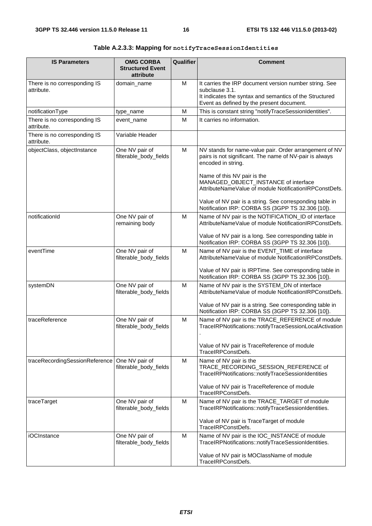| <b>IS Parameters</b>                            | <b>OMG CORBA</b><br><b>Structured Event</b><br>attribute | Qualifier | <b>Comment</b>                                                                                                                                                                                                                                                           |
|-------------------------------------------------|----------------------------------------------------------|-----------|--------------------------------------------------------------------------------------------------------------------------------------------------------------------------------------------------------------------------------------------------------------------------|
| There is no corresponding IS<br>attribute.      | domain_name                                              | М         | It carries the IRP document version number string. See<br>subclause 3.1.<br>It indicates the syntax and semantics of the Structured<br>Event as defined by the present document.                                                                                         |
| notificationType                                | type_name                                                | M         | This is constant string "notifyTraceSessionIdentities".                                                                                                                                                                                                                  |
| There is no corresponding IS<br>attribute.      | event_name                                               | М         | It carries no information.                                                                                                                                                                                                                                               |
| There is no corresponding IS<br>attribute.      | Variable Header                                          |           |                                                                                                                                                                                                                                                                          |
| objectClass, objectInstance                     | One NV pair of<br>filterable_body_fields                 | М         | NV stands for name-value pair. Order arrangement of NV<br>pairs is not significant. The name of NV-pair is always<br>encoded in string.<br>Name of this NV pair is the<br>MANAGED_OBJECT_INSTANCE of interface<br>AttributeNameValue of module NotificationIRPConstDefs. |
|                                                 |                                                          |           | Value of NV pair is a string. See corresponding table in<br>Notification IRP: CORBA SS (3GPP TS 32.306 [10]).                                                                                                                                                            |
| notificationId                                  | One NV pair of<br>remaining body                         | М         | Name of NV pair is the NOTIFICATION_ID of interface<br>AttributeNameValue of module NotificationIRPConstDefs.                                                                                                                                                            |
|                                                 |                                                          |           | Value of NV pair is a long. See corresponding table in<br>Notification IRP: CORBA SS (3GPP TS 32.306 [10]).                                                                                                                                                              |
| eventTime                                       | One NV pair of<br>filterable_body_fields                 | м         | Name of NV pair is the EVENT_TIME of interface<br>AttributeNameValue of module NotificationIRPConstDefs.                                                                                                                                                                 |
|                                                 |                                                          |           | Value of NV pair is IRPTime. See corresponding table in<br>Notification IRP: CORBA SS (3GPP TS 32.306 [10]).                                                                                                                                                             |
| systemDN                                        | One NV pair of<br>filterable_body_fields                 | М         | Name of NV pair is the SYSTEM_DN of interface<br>AttributeNameValue of module NotificationIRPConstDefs.                                                                                                                                                                  |
|                                                 |                                                          |           | Value of NV pair is a string. See corresponding table in<br>Notification IRP: CORBA SS (3GPP TS 32.306 [10]).                                                                                                                                                            |
| traceReference                                  | One NV pair of<br>filterable_body_fields                 | M         | Name of NV pair is the TRACE_REFERENCE of module<br>TraceIRPNotifications::notifyTraceSessionLocalActivation                                                                                                                                                             |
|                                                 |                                                          |           | Value of NV pair is TraceReference of module<br>TraceIRPConstDefs.                                                                                                                                                                                                       |
| traceRecordingSessionReference   One NV pair of | filterable_body_fields                                   | М         | Name of NV pair is the<br>TRACE_RECORDING_SESSION_REFERENCE of<br>TraceIRPNotifications::notifyTraceSessionIdentities                                                                                                                                                    |
|                                                 |                                                          |           | Value of NV pair is TraceReference of module<br>TraceIRPConstDefs.                                                                                                                                                                                                       |
| traceTarget                                     | One NV pair of<br>filterable_body_fields                 | м         | Name of NV pair is the TRACE_TARGET of module<br>TraceIRPNotifications::notifyTraceSessionIdentities.                                                                                                                                                                    |
|                                                 |                                                          |           | Value of NV pair is TraceTarget of module<br>TraceIRPConstDefs.                                                                                                                                                                                                          |
| <b>iOCInstance</b>                              | One NV pair of<br>filterable_body_fields                 | М         | Name of NV pair is the IOC_INSTANCE of module<br>TraceIRPNotifications::notifyTraceSessionIdentities.                                                                                                                                                                    |
|                                                 |                                                          |           | Value of NV pair is MOClassName of module<br>TraceIRPConstDefs.                                                                                                                                                                                                          |

**Table A.2.3.3: Mapping for notifyTraceSessionIdentities**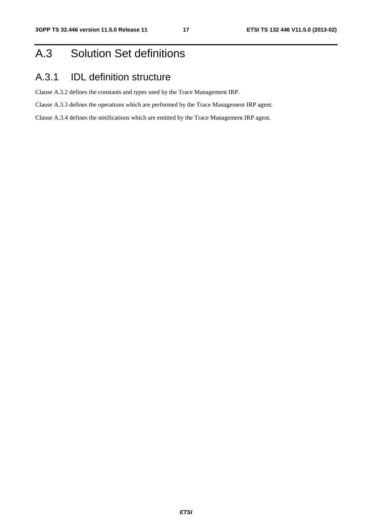## A.3 Solution Set definitions

## A.3.1 IDL definition structure

Clause A.3.2 defines the constants and types used by the Trace Management IRP.

Clause A.3.3 defines the operations which are performed by the Trace Management IRP agent.

Clause A.3.4 defines the notifications which are emitted by the Trace Management IRP agent.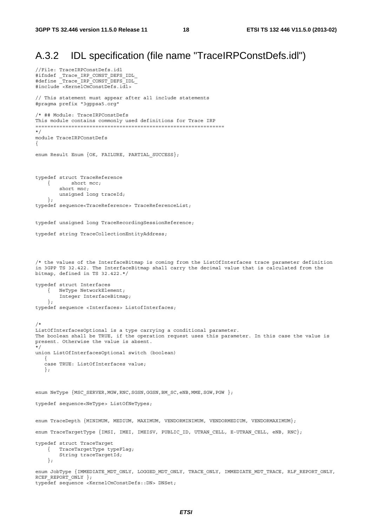### A.3.2 IDL specification (file name "TraceIRPConstDefs.idl")

```
//File: TraceIRPConstDefs.idl 
#ifndef _Trace_IRP_CONST_DEFS_IDL_ 
#define _Trace_IRP_CONST_DEFS_IDL_ 
#include <KernelCmConstDefs.idl> 
// This statement must appear after all include statements 
#pragma prefix "3gppsa5.org" 
/* ## Module: TraceIRPConstDefs 
This module contains commonly used definitions for Trace IRP 
=============================================================== 
*/ 
module TraceIRPConstDefs 
{ 
enum Result Enum {OK, FAILURE, PARTIAL_SUCCESS};
typedef struct TraceReference 
     { short mcc; 
         short mnc; 
        unsigned long traceId; 
     }; 
typedef sequence<TraceReference> TraceReferenceList; 
typedef unsigned long TraceRecordingSessionReference; 
typedef string TraceCollectionEntityAddress; 
/* the values of the InterfaceBitmap is coming from the ListOfInterfaces trace parameter definition 
in 3GPP TS 32.422. The InterfaceBitmap shall carry the decimal value that is calculated from the 
bitmap, defined in TS 32.422.*/ 
typedef struct Interfaces 
    { NeType NetworkElement; 
         Integer InterfaceBitmap; 
     }; 
typedef sequence <Interfaces> ListofInterfaces; 
/* 
ListOfInterfacesOptional is a type carrying a conditional parameter. 
The boolean shall be TRUE, if the operation request uses this parameter. In this case the value is 
present. Otherwise the value is absent. 
*/ 
union ListOfInterfacesOptional switch (boolean) 
\{ case TRUE: ListOfInterfaces value; 
    }; 
enum NeType {MSC_SERVER, MGW, RNC, SGSN, GGSN, BM_SC, eNB, MME, SGW, PGW };
typedef sequence<NeType> ListOfNeTypes; 
enum TraceDepth {MINIMUM, MEDIUM, MAXIMUM, VENDORMINIMUM, VENDORMEDIUM, VENDORMAXIMUM};
enum TraceTargetType {IMSI, IMEI, IMEISV, PUBLIC_ID, UTRAN_CELL, E-UTRAN_CELL, eNB, RNC}; 
typedef struct TraceTarget 
    { TraceTargetType typeFlag; 
         String traceTargetId; 
     }; 
enum JobType {IMMEDIATE_MDT_ONLY, LOGGED_MDT_ONLY, TRACE_ONLY, IMMEDIATE_MDT_TRACE, RLF_REPORT_ONLY,
RCEF_REPORT_ONLY };
```
typedef sequence <KernelCmConstDefs::DN> DNSet;

*ETSI*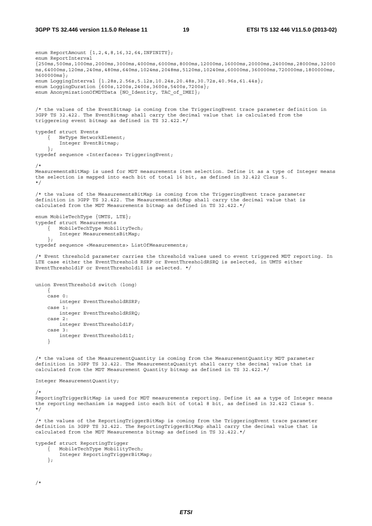enum ReportAmount  $\{1, 2, 4, 8, 16, 32, 64, INFINITE\};$ enum ReportInterval {250ms,500ms,1000ms,2000ms,3000ms,4000ms,6000ms,8000ms,12000ms,16000ms,20000ms,24000ms,28000ms,32000 ms,64000ms,120ms,240ms,480ms,640ms,1024ms,2048ms,5120ms,10240ms,60000ms,360000ms,720000ms,1800000ms, 3600000ms}; enum LoggingInterval {1.28s,2.56s,5.12s,10.24s,20.48s,30.72s,40.96s,61.44s}; enum LoggingDuration {600s,1200s,2400s,3600s,5400s,7200s}; enum AnonymizationOfMDTData {NO Identity, TAC of IMEI}; /\* the values of the EventBitmap is coming from the TriggeringEvent trace parameter definition in 3GPP TS 32.422. The EventBitmap shall carry the decimal value that is calculated from the triggereing event bitmap as defined in TS 32.422.\*/ typedef struct Events { NeType NetworkElement; Integer EventBitmap; }; typedef sequence <Interfaces> TriggeringEvent; /\* MeasurementsBitMap is used for MDT measurements item selection. Define it as a type of Integer means the selection is mapped into each bit of total 16 bit, as defined in 32.422 Claus 5. \*/ /\* the values of the MeasurementsBitMap is coming from the TriggeringEvent trace parameter definition in 3GPP TS 32.422. The MeasurementsBitMap shall carry the decimal value that is calculated from the MDT Measurements bitmap as defined in TS 32.422.\*/ enum MobileTechType {UMTS, LTE}; typedef struct Measurements { MobileTechType MobilityTech; Integer MeasurementsBitMap; }; typedef sequence <Measurements> ListOfMeasurements; /\* Event threshold parameter carries the threshold values used to event triggered MDT reporting. In LTE case either the EventThreshold RSRP or EventThresholdRSRQ is selected, in UMTS either EventThreshold1F or EventThreshold1I is selected. \*/ union EventThreshold switch (long) { case 0: integer EventThresholdRSRP; case 1: integer EventThresholdRSRQ; case 2: integer EventThreshold1F; case 3: integer EventThreshold1I; } /\* the values of the MeasurementQuantity is coming from the MeasurementQuantity MDT parameter definition in 3GPP TS 32.422. The MeasurementsQuanityt shall carry the decimal value that is calculated from the MDT Measurement Quantity bitmap as defined in TS 32.422.\*/ Integer MeasurementQuantity; /\* ReportingTriggerBitMap is used for MDT measurements reporting. Define it as a type of Integer means the reporting mechanism is mapped into each bit of total 8 bit, as defined in 32.422 Claus 5. \*/ /\* the values of the ReportingTriggerBitMap is coming from the TriggeringEvent trace parameter definition in 3GPP TS 32.422. The ReportingTriggerBitMap shall carry the decimal value that is calculated from the MDT Measurements bitmap as defined in TS 32.422.\*/ typedef struct ReportingTrigger { MobileTechType MobilityTech; Integer ReportingTriggerBitMap; };

```
/*
```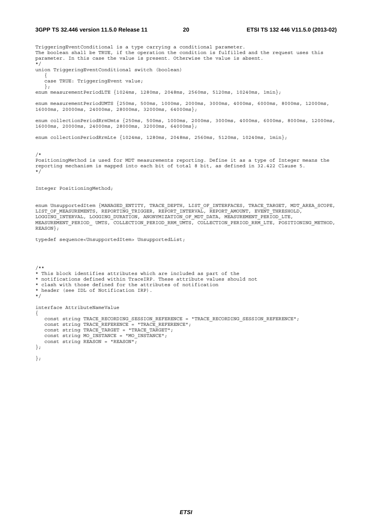TriggeringEventConditional is a type carrying a conditional parameter. The boolean shall be TRUE, if the operation the condition is fulfilled and the request uses this parameter. In this case the value is present. Otherwise the value is absent. \*/

union TriggeringEventConditional switch (boolean)

case TRUE: TriggeringEvent value;

enum measurementPeriodLTE {1024ms, 1280ms, 2048ms, 2560ms, 5120ms, 10240ms, 1min};

enum measurementPeriodUMTS {250ms, 500ms, 1000ms, 2000ms, 3000ms, 4000ms, 6000ms, 8000ms, 12000ms, 16000ms, 20000ms, 24000ms, 28000ms, 32000ms, 64000ms};

enum collectionPeriodRrmUmts {250ms, 500ms, 1000ms, 2000ms, 3000ms, 4000ms, 6000ms, 8000ms, 12000ms, 16000ms, 20000ms, 24000ms, 28000ms, 32000ms, 64000ms};

enum collectionPeriodRrmLte {1024ms, 1280ms, 2048ms, 2560ms, 5120ms, 10240ms, 1min};

/\*

 $\{$ 

};

PositioningMethod is used for MDT measurements reporting. Define it as a type of Integer means the reporting mechanism is mapped into each bit of total 8 bit, as defined in 32.422 Clause 5. \*/

Integer PositioningMethod;

enum UnsupportedItem {MANAGED\_ENTITY, TRACE\_DEPTH, LIST OF INTERFACES, TRACE TARGET, MDT AREA\_SCOPE, LIST\_OF\_MEASUREMENTS, REPORTING\_TRIGGER, REPORT\_INTERVAL, REPORT\_AMOUNT, EVENT THRESHOLD, LOGGING INTERVAL, LOGGING DURATION, ANONYMIZATION OF MDT DATA, MEASUREMENT PERIOD LTE, MEASUREMENT\_PERIOD\_ UMTS, COLLECTION\_PERIOD\_RRM\_UMTS, COLLECTION\_PERIOD\_RRM\_LTE, POSITIONING\_METHOD, REASON};

typedef sequence<UnsupportedItem> UnsupportedList;

```
/** 
* This block identifies attributes which are included as part of the 
* notifications defined within TraceIRP. These attribute values should not 
* clash with those defined for the attributes of notification 
* header (see IDL of Notification IRP). 
*/ 
interface AttributeNameValue 
{ 
   const string TRACE RECORDING SESSION REFERENCE = "TRACE RECORDING SESSION REFERENCE";
  \overline{C} const string TRACE REFERENCE = "TRACE REFERENCE";
  const string TRACE TARGET = "TRACE TARGET";
   const string MO_INSTANCE = "MO_INSTANCE"; 
    const string REASON = "REASON"; 
}; 
};
```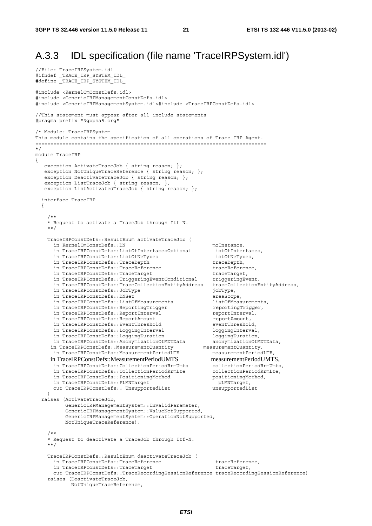//File: TraceIRPSystem.idl

## A.3.3 IDL specification (file name 'TraceIRPSystem.idl')

```
#ifndef _TRACE_IRP_SYSTEM_IDL_ 
#define _TRACE_IRP_SYSTEM_IDL_ 
#include <KernelCmConstDefs.idl> 
#include <GenericIRPManagementConstDefs.idl> 
#include <GenericIRPManagementSystem.idl>#include <TraceIRPConstDefs.idl> 
//This statement must appear after all include statements 
#pragma prefix "3gppsa5.org" 
/* Module: TraceIRPSystem 
This module contains the specification of all operations of Trace IRP Agent. 
============================================================================= 
*/ 
module TraceIRP 
{ 
   exception ActivateTraceJob { string reason; };
   exception NotUniqueTraceReference \{ string reason; \};exception DeactivateTraceJob { string reason; };
    exception ListTraceJob { string reason; }; 
   exception ListActivatedTraceJob { string reason; };
   interface TraceIRP 
\left\{\right./** * Request to activate a TraceJob through Itf-N. 
     **/ 
     TraceIRPConstDefs::ResultEnum activateTraceJob ( 
      in KernelCmConstDefs::DN moInstance,<br>in TraceIRPConstDefs::ListOfInterfacesOptional listOfInterfaces,
      in TraceIRPConstDefs::ListOfInterfacesOptional listOfInterfacent listOfNeTypes,
      in TraceIRPConstDefs::ListOfNeTypes listOfNeTypes<br>in TraceIRPConstDefs::TraceDepth htraceDepth,
      in TraceIRPConstDefs::TraceDepth
      in TraceIRPConstDefs::TraceReference traceReference,<br>in TraceIRPConstDefs::TraceTarqet traceTarget,
in TraceIRPConstDefs::TraceTarget traceTarget,
 in TraceIRPConstDefs::TriggeringEventConditional triggeringEvent, 
       in TraceIRPConstDefs::TraceCollectionEntityAddress traceCollectionEntityAddress, 
      in TraceIRPConstDefs::JobType demonstration of the jobType,
      in TraceIRPConstDefs::DNSet areaScope,
       in TraceIRPConstDefs::ListOfMeasurements listOfMeasurements, 
      in TraceIRPConstDefs::ReportingTrigger reportingTrigger,
      in TraceIRPConstDefs::ReportInterval reportInterval,
      in TraceIRPConstDefs::ReportAmount<br>in TraceIRPConstDefs::EventThreshold reventThreshold,
      in TraceIRPConstDefs::EventThreshold
      in TraceIRPConstDefs::LoggingInterval loggingInterval, loggingInterval, loggingDuration,
      in TraceIRPConstDefs::LoggingDuration
       in TraceIRPConstDefs::AnonymizationOfMDTData anonymizationOfMDTData, 
     in TraceIRPConstDefs::MeasurementQuantity measurementQuantity,
       in TraceIRPConstDefs::MeasurementPeriodLTE measurementPeriodLTE, 
     in TraceIRPConstDefs::MeasurementPeriodUMTS measurementPeriodUMTS,<br>in TraceIRPConstDefs::CollectionPeriodRrmUmts collectionPeriodRrmUmts,
       in TraceIRPConstDefs::CollectionPeriodRrmUmts collectionPeriodRrmUmts, 
       in TraceIRPConstDefs::CollectionPeriodRrmLte collectionPeriodRrmLte, 
      in TraceIRPConstDefs::PositioningMethod positioningMethod<br>in TraceIRPConstDefs::PLMNTarget
      in TraceIRPConstDefs::PLMNTarget
       out TraceIRPConstDefs:: UnsupportedList unsupportedList 
\qquad \qquad raises (ActivateTraceJob, 
           GenericIRPManagementSystem::InvalidParameter, 
           GenericIRPManagementSystem::ValueNotSupported, 
           GenericIRPManagementSystem::OperationNotSupported, 
           NotUniqueTraceReference); 
     /** 
     * Request to deactivate a TraceJob through Itf-N. 
     **/ 
     TraceIRPConstDefs::ResultEnum deactivateTraceJob ( 
      in TraceIRPConstDefs::TraceReference traceReference,
      in TraceIRPConstDefs::TraceTarget traceTarget,
       out TraceIRPConstDefs::TraceRecordingSessionReference traceRecordingSessionReference) 
     raises (DeactivateTraceJob, 
             NotUniqueTraceReference,
```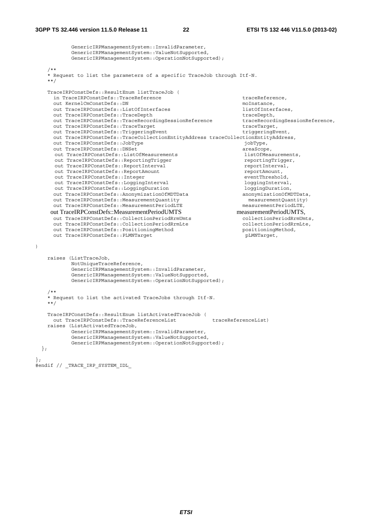)

```
 GenericIRPManagementSystem::InvalidParameter, 
             GenericIRPManagementSystem::ValueNotSupported, 
             GenericIRPManagementSystem::OperationNotSupported); 
     /** 
     * Request to list the parameters of a specific TraceJob through Itf-N. 
 **/ 
     TraceIRPConstDefs::ResultEnum listTraceJob ( 
      in TraceIRPConstDefs::TraceReference traceReference,
       out KernelCmConstDefs::DN moInstance, 
       out TraceIRPConstDefs::ListOfInterfaces listOfInterfaces, 
      out TraceIRPConstDefs::TraceDepth traceDepth,
       out TraceIRPConstDefs::TraceRecordingSessionReference traceRecordingSessionReference, 
      out TraceIRPConstDefs::TraceTarget<br>
out TraceIRPConstDefs::TriggeringEvent<br>
triqqeringEvent,
      out TraceIRPConstDefs::TriggeringEvent
       out TraceIRPConstDefs::TraceCollectionEntityAddress traceCollectionEntityAddress, 
      out TraceIRPConstDefs::JobType jobType, jobType, jobType, jout TraceIRPConstDefs::DNSet<br>
out TraceIRPConstDefs::ListOfMeasurements<br>
areaScope,<br>
listOfMeasurements,
      out TraceIRPConstDefs::ListOfMeasurements listOfMeasurement<br>out TraceIRPConstDefs::ReportingTrigger many reportingTrigger.
      out TraceIRPConstDefs: : ReportingTrigger
      out TraceIRPConstDefs::ReportInterval reportInterval,<br>
out TraceIRPConstDefs::ReportAmount reportAmount,
      out TraceIRPConstDefs: : ReportAmount
      out TraceIRPConstDefs::Integer<br>
out TraceIRPConstDefs::LoggingInterval eventThreshold,<br>
loggingInterval,
      out TraceIRPConstDefs::LoggingInterval
       out TraceIRPConstDefs::LoggingDuration loggingDuration, 
      out TraceIRPConstDefs::AnonymizationOfMDTData anonymizationOfMDTData,<br>out TraceIRPConstDefs::MeasurementOuantity measurementOuantity)
       out TraceIRPConstDefs::MeasurementQuantity measurementQuantity) 
      out TraceIRPConstDefs::MeasurementPeriodLTE
     out TraceIRPConstDefs::MeasurementPeriodUMTS measurementPeriodUMTS,<br>out TraceIRPConstDefs::CollectionPeriodRrmUmts collectionPeriodRrmUmts.
       out TraceIRPConstDefs::CollectionPeriodRrmUmts collectionPeriodRrmUmts, 
      out TraceIRPConstDefs::CollectionPeriodRrmLte collectionPeriodRrmLte,
      out TraceIRPConstDefs::PositioningMethod positioningMethod,<br>out TraceIRPConstDefs::PLMNTarget positioningMethod,
      out TraceIRPConstDefs::PLMNTarget
     raises (ListTraceJob, 
            NotUniqueTraceReference.
             GenericIRPManagementSystem::InvalidParameter, 
             GenericIRPManagementSystem::ValueNotSupported, 
             GenericIRPManagementSystem::OperationNotSupported); 
     /** 
     * Request to list the activated TraceJobs through Itf-N. 
     **/ 
     TraceIRPConstDefs::ResultEnum listActivatedTraceJob ( 
      out TraceIRPConstDefs::TraceReferenceList traceReferenceList)
     raises (ListActivatedTraceJob, 
             GenericIRPManagementSystem::InvalidParameter, 
             GenericIRPManagementSystem::ValueNotSupported, 
             GenericIRPManagementSystem::OperationNotSupported); 
   }; 
}; 
#endif // _TRACE_IRP_SYSTEM_IDL_
```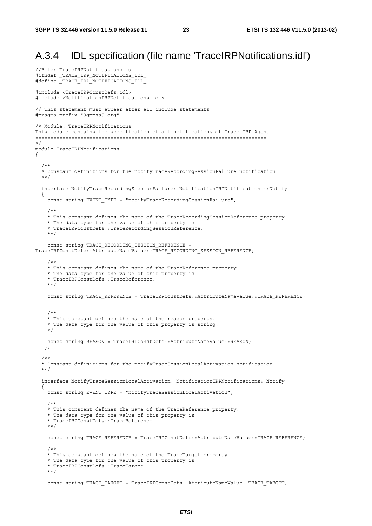### A.3.4 IDL specification (file name 'TraceIRPNotifications.idl')

```
//File: TraceIRPNotifications.idl 
#ifndef _TRACE_IRP_NOTIFICATIONS_IDL_ 
#define _TRACE_IRP_NOTIFICATIONS_IDL_ 
#include <TraceIRPConstDefs.idl> 
#include <NotificationIRPNotifications.idl> 
// This statement must appear after all include statements 
#pragma prefix "3gppsa5.org" 
/* Module: TraceIRPNotifications 
This module contains the specification of all notifications of Trace IRP Agent. 
============================================================================= 
*/ 
module TraceIRPNotifications 
{ 
   /** 
   * Constant definitions for the notifyTraceRecordingSessionFailure notification 
   **/ 
   interface NotifyTraceRecordingSessionFailure: NotificationIRPNotifications::Notify 
   { 
    const string EVENT TYPE = "notifyTraceRecordingSessionFailure";
     /** 
     * This constant defines the name of the TraceRecordingSessionReference property. 
     * The data type for the value of this property is 
     * TraceIRPConstDefs::TraceRecordingSessionReference. 
     **/ 
    const string TRACE RECORDING SESSION REFERENCE =
TraceIRPConstDefs::AttributeNameValue::TRACE_RECORDING_SESSION_REFERENCE; 
 /** 
     * This constant defines the name of the TraceReference property. 
     * The data type for the value of this property is 
     * TraceIRPConstDefs::TraceReference. 
     **/ 
    const string TRACE REFERENCE = TraceIRPConstDefs::AttributeNameValue::TRACE REFERENCE;
     /** 
     * This constant defines the name of the reason property. 
     * The data type for the value of this property is string. 
     */ 
     const string REASON = TraceIRPConstDefs::AttributeNameValue::REASON; 
    }; 
   /** 
   * Constant definitions for the notifyTraceSessionLocalActivation notification 
   **/ 
   interface NotifyTraceSessionLocalActivation: NotificationIRPNotifications::Notify 
   { 
    const string EVENT TYPE = "notifyTraceSessionLocalActivation";
 /** 
     * This constant defines the name of the TraceReference property. 
     * The data type for the value of this property is 
     * TraceIRPConstDefs::TraceReference. 
     **/ 
    const string TRACE REFERENCE = TraceIRPConstDefs::AttributeNameValue::TRACE REFERENCE;
     /** 
     * This constant defines the name of the TraceTarget property. 
     * The data type for the value of this property is 
     * TraceIRPConstDefs::TraceTarget. 
     **/ 
     const string TRACE_TARGET = TraceIRPConstDefs::AttributeNameValue::TRACE_TARGET;
```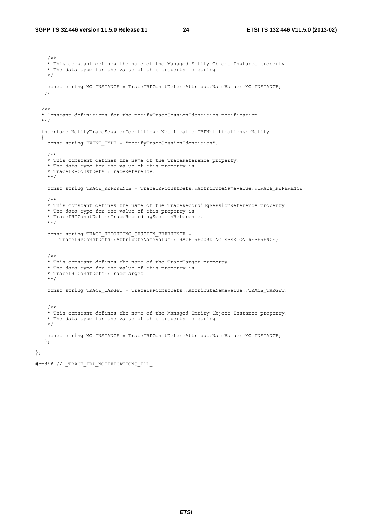/\*\* \* This constant defines the name of the Managed Entity Object Instance property. \* The data type for the value of this property is string. \*/ const string MO\_INSTANCE = TraceIRPConstDefs::AttributeNameValue::MO\_INSTANCE; }; /\*\* \* Constant definitions for the notifyTraceSessionIdentities notification \*\*/ interface NotifyTraceSessionIdentities: NotificationIRPNotifications::Notify { const string EVENT TYPE = "notifyTraceSessionIdentities"; /\*\* \* This constant defines the name of the TraceReference property. \* The data type for the value of this property is \* TraceIRPConstDefs::TraceReference. \*\*/ const string TRACE REFERENCE = TraceIRPConstDefs::AttributeNameValue::TRACE REFERENCE; /\*\* \* This constant defines the name of the TraceRecordingSessionReference property. \* The data type for the value of this property is \* TraceIRPConstDefs::TraceRecordingSessionReference. \*\*/ const string TRACE\_RECORDING\_SESSION\_REFERENCE = TraceIRPConstDefs::AttributeNameValue::TRACE\_RECORDING\_SESSION\_REFERENCE; /\*\* \* This constant defines the name of the TraceTarget property. \* The data type for the value of this property is \* TraceIRPConstDefs::TraceTarget. \*\*/ const string TRACE\_TARGET = TraceIRPConstDefs::AttributeNameValue::TRACE\_TARGET; /\*\* \* This constant defines the name of the Managed Entity Object Instance property. \* The data type for the value of this property is string. \*/ const string MO\_INSTANCE = TraceIRPConstDefs::AttributeNameValue::MO\_INSTANCE; };

#endif // \_TRACE\_IRP\_NOTIFICATIONS\_IDL\_

};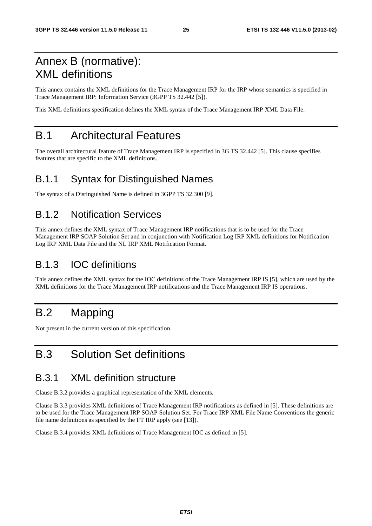## Annex B (normative): XML definitions

This annex contains the XML definitions for the Trace Management IRP for the IRP whose semantics is specified in Trace Management IRP: Information Service (3GPP TS 32.442 [5]).

This XML definitions specification defines the XML syntax of the Trace Management IRP XML Data File.

## B.1 Architectural Features

The overall architectural feature of Trace Management IRP is specified in 3G TS 32.442 [5]. This clause specifies features that are specific to the XML definitions.

## B.1.1 Syntax for Distinguished Names

The syntax of a Distinguished Name is defined in 3GPP TS 32.300 [9].

## B.1.2 Notification Services

This annex defines the XML syntax of Trace Management IRP notifications that is to be used for the Trace Management IRP SOAP Solution Set and in conjunction with Notification Log IRP XML definitions for Notification Log IRP XML Data File and the NL IRP XML Notification Format.

### B.1.3 IOC definitions

This annex defines the XML syntax for the IOC definitions of the Trace Management IRP IS [5], which are used by the XML definitions for the Trace Management IRP notifications and the Trace Management IRP IS operations.

## B.2 Mapping

Not present in the current version of this specification.

## B.3 Solution Set definitions

## B.3.1 XML definition structure

Clause B.3.2 provides a graphical representation of the XML elements.

Clause B.3.3 provides XML definitions of Trace Management IRP notifications as defined in [5]. These definitions are to be used for the Trace Management IRP SOAP Solution Set. For Trace IRP XML File Name Conventions the generic file name definitions as specified by the FT IRP apply (see [13]).

Clause B.3.4 provides XML definitions of Trace Management IOC as defined in [5].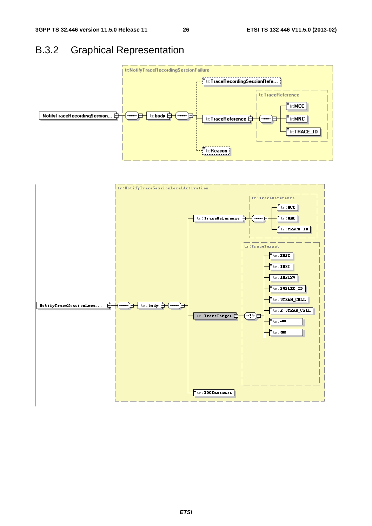## B.3.2 Graphical Representation



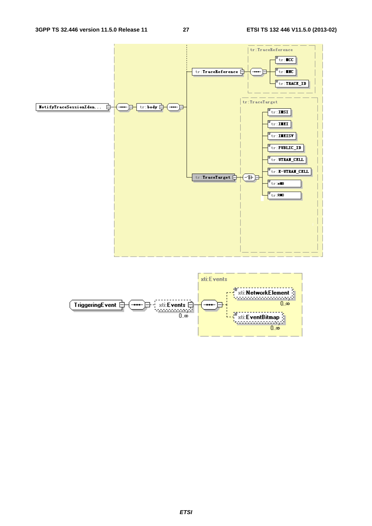

![](_page_27_Figure_4.jpeg)

#### *ETSI*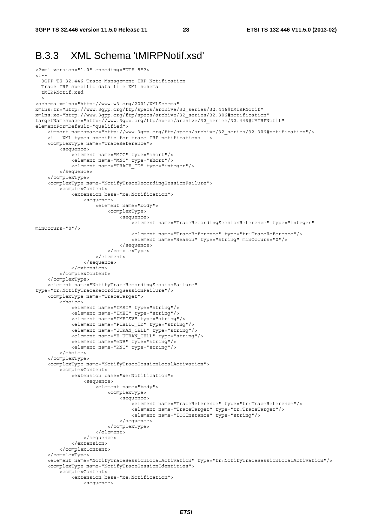#### B.3.3 XML Schema 'tMIRPNotif.xsd'

```
<?xml version="1.0" encoding="UTF-8"?> 
\leq ! - 3GPP TS 32.446 Trace Management IRP Notification 
  Trace IRP specific data file XML schema 
  tMIRPNotif.xsd 
--> 
<schema xmlns="http://www.w3.org/2001/XMLSchema" 
xmlns:tr="http://www.3gpp.org/ftp/specs/archive/32_series/32.446#tMIRPNotif" 
xmlns:xe="http://www.3gpp.org/ftp/specs/archive/32_series/32.306#notification" 
targetNamespace="http://www.3gpp.org/ftp/specs/archive/32_series/32.446#tMIRPNotif" 
elementFormDefault="qualified"> 
     <import namespace="http://www.3gpp.org/ftp/specs/archive/32_series/32.306#notification"/> 
     <!-- XML types specific for trace IRP notifications --> 
     <complexType name="TraceReference"> 
         <sequence> 
 <element name="MCC" type="short"/> 
 <element name="MNC" type="short"/> 
             <element name="TRACE_ID" type="integer"/> 
         </sequence> 
     </complexType> 
     <complexType name="NotifyTraceRecordingSessionFailure"> 
         <complexContent> 
             <extension base="xe:Notification"> 
                  <sequence> 
                     .<br><element name="bodv">
                          <complexType> 
                              <sequence> 
                                 <element name="TraceRecordingSessionReference" type="integer"
minOccurs="0"/> 
                                  <element name="TraceReference" type="tr:TraceReference"/> 
                                  <element name="Reason" type="string" minOccurs="0"/> 
                              </sequence> 
                          </complexType> 
                      </element> 
                  </sequence> 
             </extension> 
         </complexContent> 
     </complexType> 
     <element name="NotifyTraceRecordingSessionFailure" 
type="tr:NotifyTraceRecordingSessionFailure"/> 
     <complexType name="TraceTarget"> 
         <choice> 
             <element name="IMSI" type="string"/> 
             <element name="IMEI" type="string"/> 
             <element name="IMEISV" type="string"/> 
             <element name="PUBLIC_ID" type="string"/> 
             <element name="UTRAN_CELL" type="string"/> 
             <element name="E-UTRAN_CELL" type="string"/> 
 <element name="eNB" type="string"/> 
 <element name="RNC" type="string"/> 
         </choice> 
     </complexType> 
     <complexType name="NotifyTraceSessionLocalActivation"> 
         <complexContent> 
             <extension base="xe:Notification"> 
                  <sequence> 
                      <element name="body"> 
                          <complexType> 
                              <sequence> 
                                  .<br><element name="TraceReference" type="tr:TraceReference"/>
                                  <element name="TraceTarget" type="tr:TraceTarget"/> 
                                  <element name="IOCInstance" type="string"/> 
                              </sequence> 
                          </complexType> 
                      </element> 
                  </sequence> 
             </extension> 
         </complexContent> 
     </complexType> 
     <element name="NotifyTraceSessionLocalActivation" type="tr:NotifyTraceSessionLocalActivation"/> 
     <complexType name="NotifyTraceSessionIdentities"> 
         <complexContent> 
             <extension base="xe:Notification"> 
                  <sequence>
```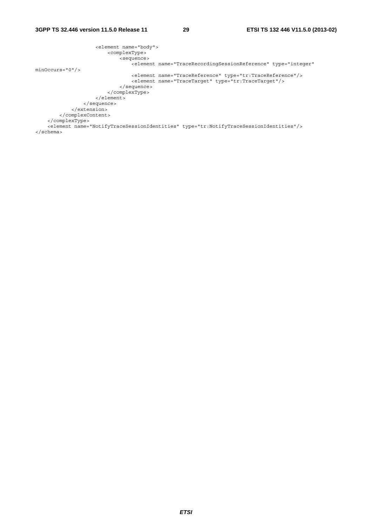| <element name="body"></element> |                                                                                                |
|---------------------------------|------------------------------------------------------------------------------------------------|
| <complextype></complextype>     |                                                                                                |
| <sequence></sequence>           |                                                                                                |
|                                 | <blement <="" name="TraceRecordingSessionReference" td="" type="integer"></blement>            |
| $minOccurs = "0"$               |                                                                                                |
|                                 | <element name="TraceReference" type="tr:TraceReference"></element>                             |
|                                 | <element name="TraceTarget" type="tr:TraceTarget"></element>                                   |
| $\langle$ sequence>             |                                                                                                |
|                                 |                                                                                                |
| $\langle$ element>              |                                                                                                |
| $\langle$ sequence>             |                                                                                                |
|                                 |                                                                                                |
|                                 |                                                                                                |
|                                 |                                                                                                |
|                                 | <element name="NotifyTraceSessionIdentities" type="tr:NotifyTraceSessionIdentities"></element> |
| $\langle$ schema>               |                                                                                                |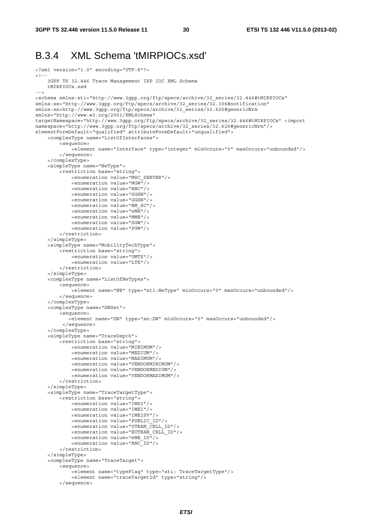#### B.3.4 XML Schema 'tMIRPIOCs.xsd'

```
<?xml version="1.0" encoding="UTF-8"?> 
\leq ! - 3GPP TS 32.446 Trace Management IRP IOC XML Schema 
     tMIRPIOCs.xsd 
- - -<schema xmlns:xti="http://www.3gpp.org/ftp/specs/archive/32_series/32.446#tMIRPIOCs" 
xmlns:xe="http://www.3gpp.org/ftp/specs/archive/32_series/32.306#notification" 
xmlns:xn=http://www.3gpp.org/ftp/specs/archive/32_series/32.626#genericNrm 
xmlns="http://www.w3.org/2001/XMLSchema" 
targetNamespace="http://www.3gpp.org/ftp/specs/archive/32_series/32.446#tMIRPIOCs" <import 
namespace="http://www.3gpp.org/ftp/specs/archive/32_series/32.626#genericNrm"/> 
elementFormDefault="qualified" attributeFormDefault="unqualified">
     <complexType name="ListOfInterfaces"> 
         <sequence> 
            -<br>-<element name="Interface" type="integer" minOccurs="0" maxOccurs="unbounded"/>
         </sequence> 
     </complexType> 
     <simpleType name="NeType"> 
         <restriction base="string"> 
             <enumeration value="MSC_SERVER"/> 
              <enumeration value="MGW"/> 
              <enumeration value="RNC"/> 
              <enumeration value="SGSN"/> 
              <enumeration value="GGSN"/> 
              <enumeration value="BM_SC"/> 
              <enumeration value="eNB"/> 
              <enumeration value="MME"/> 
              <enumeration value="SGW"/> 
              <enumeration value="PGW"/> 
         </restriction> 
     </simpleType> 
     <simpleType name="MobilityTechType"> 
         <restriction base="string"> 
              <enumeration value="UMTS"/> 
              <enumeration value="LTE"/> 
         </restriction> 
     </simpleType> 
     <complexType name="ListOfNeTypes"> 
         <sequence> 
              <element name="NE" type="xti:NeType" minOccurs="0" maxOccurs="unbounded"/> 
         </sequence> 
     </complexType> 
     <complexType name="DNSet"> 
         <sequence> 
             <element name="DN" type="xn:DN" minOccurs="0" maxOccurs="unbounded"/> 
          </sequence> 
     </complexType> 
     <simpleType name="TraceDepth"> 
         <restriction base="string"> 
              <enumeration value="MINIMUM"/> 
              <enumeration value="MEDIUM"/> 
              <enumeration value="MAXIMUM"/> 
              <enumeration value="VENDORMINIMUM"/> 
              <enumeration value="VENDORMEDIUM"/> 
              <enumeration value="VENDORMAXIMUM"/> 
         </restriction> 
     </simpleType> 
     <simpleType name="TraceTargetType"> 
         <restriction base="string"> 
              <enumeration value="IMSI"/> 
              <enumeration value="IMEI"/> 
              <enumeration value="IMEISV"/> 
              <enumeration value="PUBLIC_ID"/> 
              <enumeration value="UTRAN_CELL_ID"/> 
              <enumeration value="EUTRAN_CELL_ID"/> 
              <enumeration value="eNB_ID"/> 
              <enumeration value="RNC_ID"/> 
         </restriction> 
     </simpleType> 
     <complexType name="TraceTarget"> 
         <sequence> 
             .<br><element name="typeFlaq" type="xti: TraceTarqetType"/>
              <element name="traceTargetId" type="string"/> 
         </sequence>
```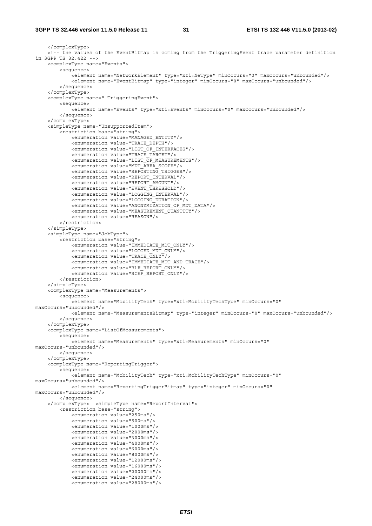#### **3GPP TS 32.446 version 11.5.0 Release 11 31 ETSI TS 132 446 V11.5.0 (2013-02)**

```
 </complexType> 
     <!-- the values of the EventBitmap is coming from the TriggeringEvent trace parameter definition 
in 3GPP TS 32.422 --> 
     <complexType name="Events"> 
         <sequence> 
            -<br><element name="NetworkElement" type="xti:NeType" minOccurs="0" maxOccurs="unbounded"/>
             <element name="EventBitmap" type="integer" minOccurs="0" maxOccurs="unbounded"/> 
         </sequence> 
     </complexType> 
     <complexType name=" TriggeringEvent"> 
         <sequence> 
             <element name="Events" type="xti:Events" minOccurs="0" maxOccurs="unbounded"/> 
         </sequence> 
     </complexType> 
     <simpleType name="UnsupportedItem"> 
         <restriction base="string"> 
             <enumeration value="MANAGED_ENTITY"/> 
              <enumeration value="TRACE_DEPTH"/> 
             <enumeration value="LIST_OF_INTERFACES"/> 
             <enumeration value="TRACE_TARGET"/> 
             <enumeration value="LIST_OF_MEASUREMENTS"/> 
             <enumeration value="MDT_AREA_SCOPE"/> 
             <enumeration value="REPORTING_TRIGGER"/> 
             <enumeration value="REPORT_INTERVAL"/> 
             <enumeration value="REPORT_AMOUNT"/> 
              <enumeration value="EVENT_THRESHOLD"/> 
             <enumeration value="LOGGING_INTERVAL"/> 
             <enumeration value="LOGGING_DURATION"/> 
             <enumeration value="ANONYMIZATION_OF_MDT_DATA"/> 
             <enumeration value="MEASUREMENT_QUANTITY"/> 
             <enumeration value="REASON"/> 
         </restriction> 
     </simpleType> 
     <simpleType name="JobType"> 
         <restriction base="string"> 
             <enumeration value="IMMEDIATE_MDT_ONLY"/> 
              <enumeration value="LOGGED_MDT_ONLY"/> 
             <enumeration value="TRACE_ONLY"/> 
             <enumeration value="IMMEDIATE_MDT AND TRACE"/> 
             <enumeration value="RLF_REPORT_ONLY"/> 
             <enumeration value="RCEF_REPORT_ONLY"/> 
         </restriction> 
     </simpleType> 
     <complexType name="Measurements"> 
         <sequence> 
             <element name="MobilityTech" type="xti:MobilityTechType" minOccurs="0" 
maxOccurs="unbounded"/> 
             <element name="MeasurementsBitmap" type="integer" minOccurs="0" maxOccurs="unbounded"/> 
         </sequence> 
     </complexType> 
     <complexType name="ListOfMeasurements"> 
         <sequence> 
             <element name="Measurements" type="xti:Measurements" minOccurs="0" 
maxOccurs="unbounded"/> 
         </sequence> 
     </complexType> 
     <complexType name="ReportingTrigger"> 
         <sequence> 
             <element name="MobilityTech" type="xti:MobilityTechType" minOccurs="0" 
maxOccurs="unbounded"/> 
             <element name="ReportingTriggerBitmap" type="integer" minOccurs="0" 
maxOccurs="unbounded"/> 
         </sequence> 
     </complexType> <simpleType name="ReportInterval"> 
         <restriction base="string"> 
             <enumeration value="250ms"/> 
              <enumeration value="500ms"/> 
             <enumeration value="1000ms"/> 
             <enumeration value="2000ms"/> 
              <enumeration value="3000ms"/> 
             <enumeration value="4000ms"/> 
             <enumeration value="6000ms"/> 
             <enumeration value="8000ms"/> 
             <enumeration value="12000ms"/> 
              <enumeration value="16000ms"/> 
             <enumeration value="20000ms"/> 
              <enumeration value="24000ms"/> 
             <enumeration value="28000ms"/>
```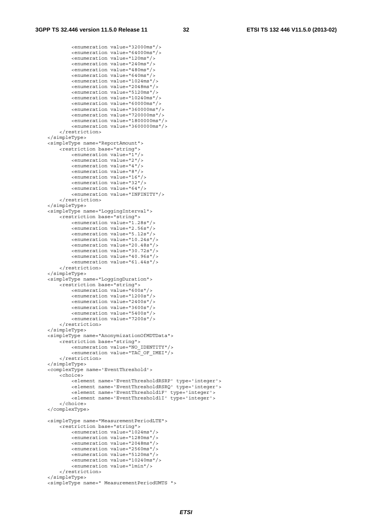```
 <enumeration value="32000ms"/> 
         <enumeration value="64000ms"/> 
         <enumeration value="120ms"/> 
         <enumeration value="240ms"/> 
         <enumeration value="480ms"/> 
         <enumeration value="640ms"/> 
         <enumeration value="1024ms"/> 
         <enumeration value="2048ms"/> 
         <enumeration value="5120ms"/> 
         <enumeration value="10240ms"/> 
         <enumeration value="60000ms"/> 
         <enumeration value="360000ms"/> 
         <enumeration value="720000ms"/> 
         <enumeration value="1800000ms"/> 
         <enumeration value="3600000ms"/> 
     </restriction> 
 </simpleType> 
 <simpleType name="ReportAmount"> 
     <restriction base="string"> 
         <enumeration value="1"/> 
         <enumeration value="2"/> 
         <enumeration value="4"/> 
         <enumeration value="8"/> 
         <enumeration value="16"/> 
         <enumeration value="32"/> 
         <enumeration value="64"/> 
         <enumeration value="INFINITY"/> 
     </restriction> 
 </simpleType> 
 <simpleType name="LoggingInterval"> 
     <restriction base="string"> 
         <enumeration value="1.28s"/> 
         <enumeration value="2.56s"/> 
         <enumeration value="5.12s"/> 
         <enumeration value="10.24s"/> 
         <enumeration value="20.48s"/> 
         <enumeration value="30.72s"/> 
         <enumeration value="40.96s"/> 
         <enumeration value="61.44s"/> 
     </restriction> 
 </simpleType> 
 <simpleType name="LoggingDuration"> 
     <restriction base="string"> 
         <enumeration value="600s"/> 
         <enumeration value="1200s"/> 
         <enumeration value="2400s"/> 
         <enumeration value="3600s"/> 
         <enumeration value="5400s"/> 
         <enumeration value="7200s"/> 
     </restriction> 
 </simpleType> 
 <simpleType name="AnonymizationOfMDTData"> 
     <restriction base="string"> 
         <enumeration value="NO_IDENTITY"/> 
         <enumeration value="TAC_OF_IMEI"/> 
     </restriction> 
 </simpleType> 
 <complexType name='EventThreshold'> 
     <choice> 
         <element name='EventThresholdRSRP' type='integer'> 
         <element name='EventThresholdRSRQ' type='integer'> 
         <element name='EventThreshold1F' type='integer'> 
         <element name='EventThreshold1I' type='integer'> 
     </choice> 
 </complexType> 
 <simpleType name="MeasurementPeriodLTE"> 
     <restriction base="string"> 
         <enumeration value="1024ms"/> 
         <enumeration value="1280ms"/> 
         <enumeration value="2048ms"/> 
         <enumeration value="2560ms"/> 
         <enumeration value="5120ms"/> 
         <enumeration value="10240ms"/> 
         <enumeration value="1min"/> 
     </restriction> 
 </simpleType> 
 <simpleType name=" MeasurementPeriodUMTS ">
```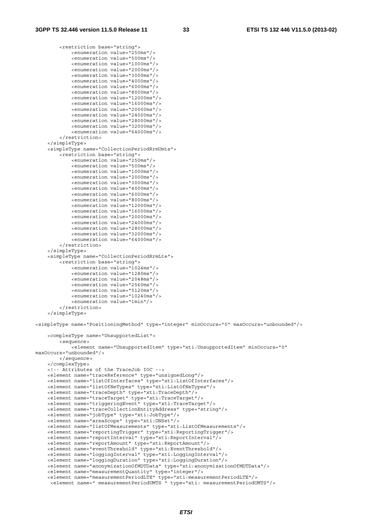<restriction base="string">

```
 <enumeration value="250ms"/> 
             <enumeration value="500ms"/> 
             <enumeration value="1000ms"/> 
             <enumeration value="2000ms"/> 
             <enumeration value="3000ms"/> 
             <enumeration value="4000ms"/> 
             <enumeration value="6000ms"/> 
             <enumeration value="8000ms"/> 
              <enumeration value="12000ms"/> 
             <enumeration value="16000ms"/> 
             <enumeration value="20000ms"/> 
             <enumeration value="24000ms"/> 
             <enumeration value="28000ms"/> 
             <enumeration value="32000ms"/> 
             <enumeration value="64000ms"/> 
         </restriction> 
     </simpleType> 
     <simpleType name="CollectionPeriodRrmUmts"> 
         <restriction base="string"> 
             <enumeration value="250ms"/> 
             <enumeration value="500ms"/> 
             <enumeration value="1000ms"/> 
             <enumeration value="2000ms"/> 
             <enumeration value="3000ms"/> 
             <enumeration value="4000ms"/> 
             <enumeration value="6000ms"/> 
             <enumeration value="8000ms"/> 
             <enumeration value="12000ms"/> 
             <enumeration value="16000ms"/> 
             <enumeration value="20000ms"/> 
             <enumeration value="24000ms"/> 
             <enumeration value="28000ms"/> 
             <enumeration value="32000ms"/> 
             <enumeration value="64000ms"/> 
         </restriction> 
     </simpleType> 
     <simpleType name="CollectionPeriodRrmLte"> 
         <restriction base="string"> 
             <enumeration value="1024ms"/> 
             <enumeration value="1280ms"/> 
             <enumeration value="2048ms"/> 
             <enumeration value="2560ms"/> 
             <enumeration value="5120ms"/> 
             <enumeration value="10240ms"/> 
             <enumeration value="1min"/> 
         </restriction> 
     </simpleType> 
<simpleType name="PositioningMethod" type="integer" minOccurs="0" maxOccurs="unbounded"/> 
     <complexType name="UnsupportedList"> 
         <sequence> 
            .<br><element name="UnsupportedItem" type="xti:UnsupportedItem" minOccurs="0"
maxOccurs="unbounded"/> 
         </sequence> 
     </complexType> 
     <!-- Attributes of the TraceJob IOC --> 
     <element name="traceReference" type="unsignedLong"/> 
     <element name="listOfInterfaces" type="xti:ListOfInterfaces"/> 
     <element name="listOfNeTypes" type="xti:ListOfNeTypes"/> 
     <element name="traceDepth" type="xti:TraceDepth"/> 
     <element name="traceTarget" type="xti:TraceTarget"/> 
     <element name="triggeringEvent" type="xti:TraceTarget"/> 
     <element name="traceCollectionEntityAddress" type="string"/> 
     <element name="jobType" type="xti:JobType"/> 
     <element name="areaScope" type="xti:DNSet"/> 
     <element name="listOfMeasurements" type="xti:ListOfMeasurements"/> 
     <element name="reportingTrigger" type="xti:ReportingTrigger"/> 
     <element name="reportInterval" type="xti:ReportInterval"/> 
     <element name="reportAmount" type="xti:ReportAmount"/> 
     <element name="eventThreshold" type="xti:EventThreshold"/> 
     <element name="loggingInterval" type="xti:LoggingInterval"/> 
     <element name="loggingDuration" type="xti:LoggingDuration"/> 
     <element name="anonymizationOfMDTData" type="xti:anonymizationOfMDTData"/> 
     <element name="measurementQuantity" type="integer"/> 
     <element name="measurementPeriodLTE" type="xti:measurementPeriodLTE"/> 
      <element name=" measurementPeriodUMTS " type="xti: measurementPeriodUMTS"/>
```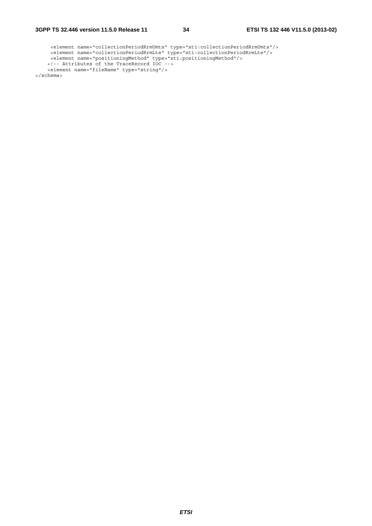*ETSI* 

```
 <element name="collectionPeriodRrmUmts" type="xti:collectionPeriodRrmUmts"/> 
 <element name="collectionPeriodRrmLte" type="xti:collectionPeriodRrmLte"/> 
 <element name="positioningMethod" type="xti:positioningMethod"/> 
 <!-- Attributes of the TraceRecord IOC --> 
 <element name="fileName" type="string"/> 
</schema>
```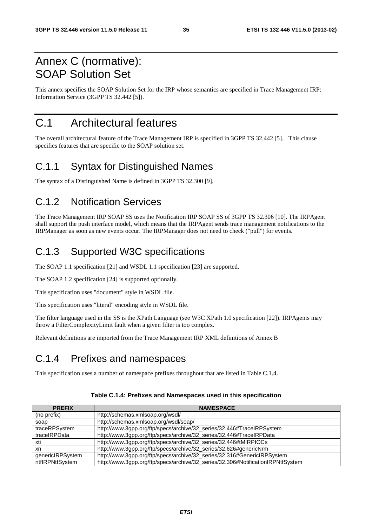## Annex C (normative): SOAP Solution Set

This annex specifies the SOAP Solution Set for the IRP whose semantics are specified in Trace Management IRP: Information Service (3GPP TS 32.442 [5]).

## C.1 Architectural features

The overall architectural feature of the Trace Management IRP is specified in 3GPP TS 32.442 [5]. This clause specifies features that are specific to the SOAP solution set.

#### C.1.1 Syntax for Distinguished Names

The syntax of a Distinguished Name is defined in 3GPP TS 32.300 [9].

### C.1.2 Notification Services

The Trace Management IRP SOAP SS uses the Notification IRP SOAP SS of 3GPP TS 32.306 [10]. The IRPAgent shall support the push interface model, which means that the IRPAgent sends trace management notifications to the IRPManager as soon as new events occur. The IRPManager does not need to check ("pull") for events.

## C.1.3 Supported W3C specifications

The SOAP 1.1 specification [21] and WSDL 1.1 specification [23] are supported.

The SOAP 1.2 specification [24] is supported optionally.

This specification uses "document" style in WSDL file.

This specification uses "literal" encoding style in WSDL file.

The filter language used in the SS is the XPath Language (see W3C XPath 1.0 specification [22]). IRPAgents may throw a FilterComplexityLimit fault when a given filter is too complex.

Relevant definitions are imported from the Trace Management IRP XML definitions of Annex B

### C.1.4 Prefixes and namespaces

This specification uses a number of namespace prefixes throughout that are listed in Table C.1.4.

| <b>PREFIX</b>    | <b>NAMESPACE</b>                                                                |
|------------------|---------------------------------------------------------------------------------|
| (no prefix)      | http://schemas.xmlsoap.org/wsdl/                                                |
| soap             | http://schemas.xmlsoap.org/wsdl/soap/                                           |
| traceRPSystem    | http://www.3gpp.org/ftp/specs/archive/32_series/32.446#TraceIRPSystem           |
| traceIRPData     | http://www.3gpp.org/ftp/specs/archive/32_series/32.446#TraceIRPData             |
| xti              | http://www.3gpp.org/ftp/specs/archive/32_series/32.446#tMIRPIOCs                |
| xn               | http://www.3gpp.org/ftp/specs/archive/32_series/32.626#genericNrm               |
| genericIRPSystem | http://www.3gpp.org/ftp/specs/archive/32_series/32.316#GenericIRPSystem         |
| ntflRPNtfSystem  | http://www.3gpp.org/ftp/specs/archive/32_series/32.306#NotificationIRPNtfSystem |

#### **Table C.1.4: Prefixes and Namespaces used in this specification**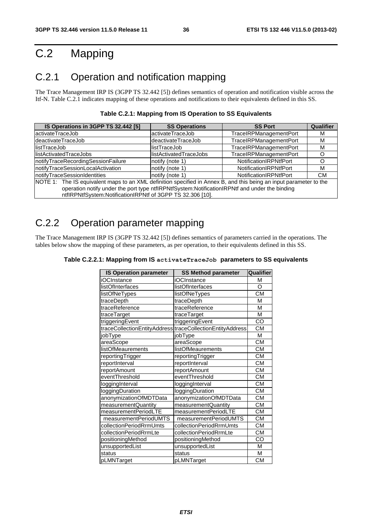# C.2 Mapping

## C.2.1 Operation and notification mapping

The Trace Management IRP IS (3GPP TS 32.442 [5]) defines semantics of operation and notification visible across the Itf-N. Table C.2.1 indicates mapping of these operations and notifications to their equivalents defined in this SS.

| IS Operations in 3GPP TS 32.442 [5]                                                                                | <b>SS Operations</b>    | <b>SS Port</b>         | Qualifier |
|--------------------------------------------------------------------------------------------------------------------|-------------------------|------------------------|-----------|
| activateTraceJob                                                                                                   | activateTraceJob        | TraceIRPManagementPort | м         |
| deactivateTraceJob                                                                                                 | deactivateTraceJob      | TraceIRPManagementPort | м         |
| llistTraceJob                                                                                                      | llistTraceJob           | TraceIRPManagementPort | м         |
| llistActivatedTraceJobs                                                                                            | llistActivatedTraceJobs | TraceIRPManagementPort |           |
| notifyTraceRecordingSessionFailure                                                                                 | notify (note 1)         | NotificationIRPNtfPort |           |
| notifyTraceSessionLocalActivation                                                                                  | notify (note 1)         | NotificationIRPNtfPort | М         |
| notifyTraceSessionIdentities                                                                                       | notify (note 1)         | NotificationIRPNtfPort | <b>CM</b> |
| NOTE 1: The IS equivalent maps to an XML definition specified in Annex B, and this being an input parameter to the |                         |                        |           |
| operation notify under the port type ntflRPNtfSystem:NotificationIRPNtf and under the binding                      |                         |                        |           |
| ntflRPNtfSystem:NotificationIRPNtf of 3GPP TS 32.306 [10].                                                         |                         |                        |           |

## C.2.2 Operation parameter mapping

The Trace Management IRP IS (3GPP TS 32.442 [5]) defines semantics of parameters carried in the operations. The tables below show the mapping of these parameters, as per operation, to their equivalents defined in this SS.

| <b>IS Operation parameter</b> | <b>SS Method parameter</b>                                | Qualifier |
|-------------------------------|-----------------------------------------------------------|-----------|
| iOCInstance                   | iOCInstance                                               | М         |
| listOfInterfaces              | listOfInterfaces                                          | $\Omega$  |
| listOfNeTypes                 | listOfNeTypes                                             | <b>CM</b> |
| traceDepth                    | traceDepth                                                | M         |
| traceReference                | traceReference                                            | M         |
| traceTarget                   | traceTarget                                               | M         |
| triggeringEvent               | triggeringEvent                                           | CO        |
|                               | traceCollectionEntityAddress traceCollectionEntityAddress | <b>CM</b> |
| jobType                       | jobType                                                   | M         |
| areaScope                     | areaScope                                                 | <b>CM</b> |
| listOfMeaurements             | listOfMeaurements                                         | <b>CM</b> |
| reportingTrigger              | reportingTrigger                                          | <b>CM</b> |
| reportInterval                | reportInterval                                            | <b>CM</b> |
| reportAmount                  | reportAmount                                              | <b>CM</b> |
| eventThreshold                | eventThreshold                                            | <b>CM</b> |
| loggingInterval               | loggingInterval                                           | <b>CM</b> |
| loggingDuration               | loggingDuration                                           | <b>CM</b> |
| anonymizationOfMDTData        | anonymizationOfMDTData                                    | <b>CM</b> |
| measurementQuantity           | measurementQuantity                                       | <b>CM</b> |
| measurementPeriodLTE          | measurementPeriodLTE                                      | <b>CM</b> |
| measurementPeriodUMTS         | measurementPeriodUMTS                                     | <b>CM</b> |
| collectionPeriodRrmUmts       | collectionPeriodRrmUmts                                   | <b>CM</b> |
| collectionPeriodRrmLte        | collectionPeriodRrmLte                                    | CМ        |
| positioningMethod             | positioningMethod                                         | CO        |
| unsupportedList               | unsupportedList                                           | M         |
| status                        | status                                                    | M         |
| pLMNTarget                    | pLMNTarget                                                | <b>CM</b> |

| Table C.2.2.1: Mapping from IS activateTraceJob parameters to SS equivalents |  |
|------------------------------------------------------------------------------|--|
|------------------------------------------------------------------------------|--|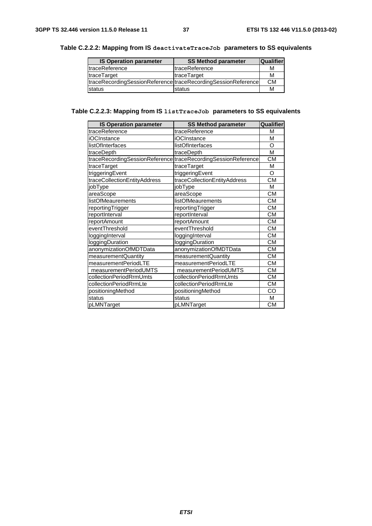| <b>IS Operation parameter</b> | <b>SS Method parameter</b>                                    | <b>Qualifier</b> |
|-------------------------------|---------------------------------------------------------------|------------------|
| <b>ItraceReference</b>        | <b>ItraceReference</b>                                        | м                |
| <b>traceTarget</b>            | traceTarget                                                   | М                |
|                               | traceRecordingSessionReference traceRecordingSessionReference | СM               |
| Istatus                       | status                                                        | м                |

#### **Table C.2.2.2: Mapping from IS deactivateTraceJob parameters to SS equivalents**

#### **Table C.2.2.3: Mapping from IS listTraceJob parameters to SS equivalents**

| <b>IS Operation parameter</b> | <b>SS Method parameter</b>                                    | Qualifier |
|-------------------------------|---------------------------------------------------------------|-----------|
| traceReference                | traceReference                                                | M         |
| iOCInstance                   | iOCInstance                                                   | М         |
| listOfInterfaces              | listOfInterfaces                                              | O         |
| traceDepth                    | traceDepth                                                    | M         |
|                               | traceRecordingSessionReference traceRecordingSessionReference | <b>CM</b> |
| traceTarget                   | traceTarget                                                   | М         |
| triggeringEvent               | triggeringEvent                                               | Ω         |
| traceCollectionEntityAddress  | traceCollectionEntityAddress                                  | СM        |
| jobType                       | jobType                                                       | М         |
| areaScope                     | areaScope                                                     | <b>CM</b> |
| listOfMeaurements             | listOfMeaurements                                             | СM        |
| reportingTrigger              | reportingTrigger                                              | <b>CM</b> |
| reportInterval                | reportInterval                                                | <b>CM</b> |
| reportAmount                  | reportAmount                                                  | СM        |
| eventThreshold                | eventThreshold                                                | <b>CM</b> |
| loggingInterval               | loggingInterval                                               | <b>CM</b> |
| loggingDuration               | loggingDuration                                               | <b>CM</b> |
| anonymizationOfMDTData        | anonymizationOfMDTData                                        | <b>CM</b> |
| measurementQuantity           | measurementQuantity                                           | <b>CM</b> |
| measurementPeriodLTE          | measurementPeriodLTE                                          | <b>CM</b> |
| measurementPeriodUMTS         | measurementPeriodUMTS                                         | <b>CM</b> |
| collectionPeriodRrmUmts       | collectionPeriodRrmUmts                                       | <b>CM</b> |
| collectionPeriodRrmLte        | collectionPeriodRrmLte                                        | <b>CM</b> |
| positioningMethod             | positioningMethod                                             | CO        |
| status                        | status                                                        | м         |
| pLMNTarget                    | pLMNTarget                                                    | <b>CM</b> |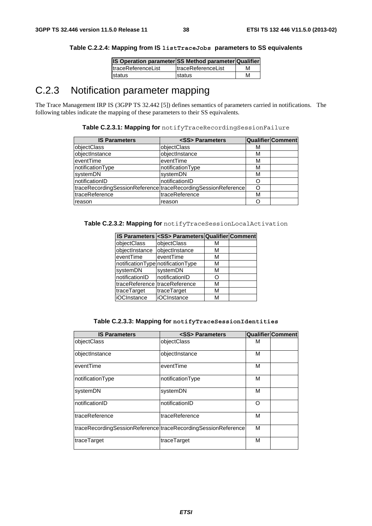| IS Operation parameter SS Method parameter Qualifier |                            |   |
|------------------------------------------------------|----------------------------|---|
| <b>ItraceReferenceList</b>                           | <b>ItraceReferenceList</b> | м |
| status                                               | status                     | М |

## C.2.3 Notification parameter mapping

The Trace Management IRP IS (3GPP TS 32.442 [5]) defines semantics of parameters carried in notifications. The following tables indicate the mapping of these parameters to their SS equivalents.

| Table C.2.3.1: Mapping for notifyTraceRecordingSessionFailure |  |
|---------------------------------------------------------------|--|
|                                                               |  |

| <b>IS Parameters</b>                                          | <ss> Parameters</ss> |   | Qualifier Comment |
|---------------------------------------------------------------|----------------------|---|-------------------|
| objectClass                                                   | objectClass          | м |                   |
| objectInstance                                                | objectInstance       | м |                   |
| eventTime                                                     | eventTime            | м |                   |
| notificationType                                              | notificationType     | м |                   |
| systemDN                                                      | systemDN             | м |                   |
| notificationID                                                | notificationID       |   |                   |
| traceRecordingSessionReference traceRecordingSessionReference |                      |   |                   |
| traceReference                                                | traceReference       | м |                   |
| reason                                                        | reason               |   |                   |

**Table C.2.3.2: Mapping for** notifyTraceSessionLocalActivation

|                               | IS Parameters <ss> Parameters Qualifier Comment</ss> |   |  |
|-------------------------------|------------------------------------------------------|---|--|
| objectClass                   | objectClass                                          | м |  |
| objectInstance                | objectInstance                                       | м |  |
| eventTime                     | eventTime                                            | м |  |
|                               | notificationType notificationType                    | м |  |
| systemDN                      | systemDN                                             | М |  |
| notificationID                | notificationID                                       | n |  |
| traceReference traceReference |                                                      | М |  |
| traceTarget                   | traceTarget                                          | М |  |
| iOCInstance                   | iOCInstance                                          | М |  |

|  | Table C.2.3.3: Mapping for notifyTraceSessionIdentities |
|--|---------------------------------------------------------|
|--|---------------------------------------------------------|

| <b>IS Parameters</b> | <ss> Parameters</ss>                                          |   | <b>Qualifier Comment</b> |
|----------------------|---------------------------------------------------------------|---|--------------------------|
| objectClass          | objectClass                                                   | м |                          |
| objectInstance       | objectInstance                                                | м |                          |
| eventTime            | eventTime                                                     | м |                          |
| notificationType     | notificationType                                              | М |                          |
| systemDN             | systemDN                                                      | М |                          |
| notificationID       | notificationID                                                | Ω |                          |
| traceReference       | traceReference                                                | м |                          |
|                      | traceRecordingSessionReference traceRecordingSessionReference | м |                          |
| traceTarget          | traceTarget                                                   | М |                          |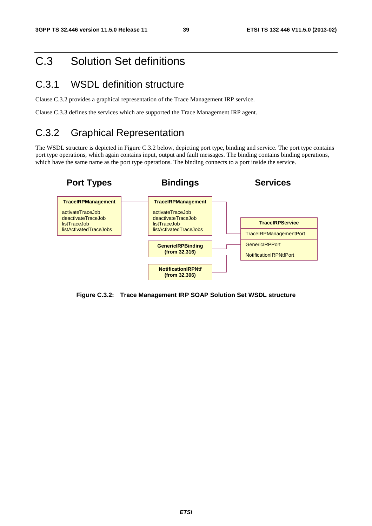## C.3 Solution Set definitions

### C.3.1 WSDL definition structure

Clause C.3.2 provides a graphical representation of the Trace Management IRP service.

Clause C.3.3 defines the services which are supported the Trace Management IRP agent.

## C.3.2 Graphical Representation

The WSDL structure is depicted in Figure C.3.2 below, depicting port type, binding and service. The port type contains port type operations, which again contains input, output and fault messages. The binding contains binding operations, which have the same name as the port type operations. The binding connects to a port inside the service.

![](_page_39_Figure_9.jpeg)

**Figure C.3.2: Trace Management IRP SOAP Solution Set WSDL structure**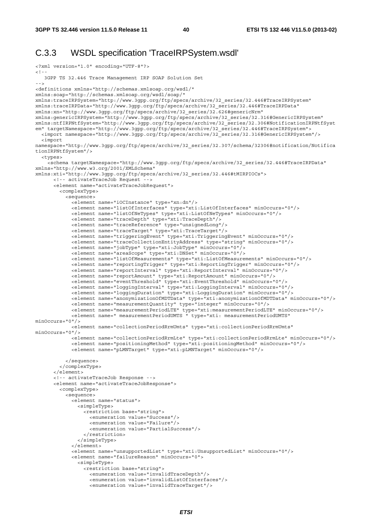#### C.3.3 WSDL specification 'TraceIRPSystem.wsdl'

```
<?xml version="1.0" encoding="UTF-8"?> 
\lt ! -
   3GPP TS 32.446 Trace Management IRP SOAP Solution Set 
--> 
<definitions xmlns="http://schemas.xmlsoap.org/wsdl/" 
xmlns:soap="http://schemas.xmlsoap.org/wsdl/soap/" 
xmlns:traceIRPSystem="http://www.3gpp.org/ftp/specs/archive/32_series/32.446#TraceIRPSystem" 
xmlns:traceIRPData="http://www.3gpp.org/ftp/specs/archive/32_series/32.446#TraceIRPData" 
xmlns:xn="http://www.3gpp.org/ftp/specs/archive/32_series/32.626#genericNrm" 
xmlns:genericIRPSystem="http://www.3gpp.org/ftp/specs/archive/32_series/32.316#GenericIRPSystem" 
xmlns:ntfIRPNtfSystem="http://www.3gpp.org/ftp/specs/archive/32_series/32.306#NotificationIRPNtfSyst
em" targetNamespace="http://www.3gpp.org/ftp/specs/archive/32_series/32.446#TraceIRPSystem">
   <import namespace="http://www.3gpp.org/ftp/specs/archive/32_series/32.316#GenericIRPSystem"/> 
   <import 
namespace="http://www.3gpp.org/ftp/specs/archive/32_series/32.307/schema/32306#notification/Notifica
tionIRPNtfSystem"/> 
   <types> 
     <schema targetNamespace="http://www.3gpp.org/ftp/specs/archive/32_series/32.446#TraceIRPData" 
xmlns="http://www.w3.org/2001/XMLSchema" 
xmlns:xti="http://www.3gpp.org/ftp/specs/archive/32_series/32.446#tMIRPIOCs"> 
       <!-- activateTraceJob Request --> 
       <element name="activateTraceJobRequest"> 
         <complexType> 
           <sequence> 
             <element name="iOCInstance" type="xn:dn"/> 
             <element name="listOfInterfaces" type="xti:ListOfInterfaces" minOccurs="0"/> 
             <element name="listOfNeTypes" type="xti:ListOfNeTypes" minOccurs="0"/> 
             <element name="traceDepth" type="xti:TraceDepth"/> 
             <element name="traceReference" type="unsignedLong"/> 
             <element name="traceTarget" type="xti:TraceTarget"/> 
             <element name="triggeringEvent" type="xti:TriggeringEvent" minOccurs="0"/> 
             <element name="traceCollectionEntityAddress" type="string" minOccurs="0"/> 
             <element name="jobType" type="xti:JobType" minOccurs="0"/> 
             <element name="areaScope" type="xti:DNSet" minOccurs="0"/> 
             <element name="listOfMeasurements" type="xti:ListOfMeasurements" minOccurs="0"/> 
             <element name="reportingTrigger" type="xti:ReportingTrigger" minOccurs="0"/> 
             <element name="reportInterval" type="xti:ReportInterval" minOccurs="0"/> 
             <element name="reportAmount" type="xti:ReportAmount" minOccurs="0"/> 
             <element name="eventThreshold" type="xti:EventThreshold" minOccurs="0"/> 
             <element name="loggingInterval" type="xti:LoggingInterval" minOccurs="0"/> 
             <element name="loggingDuration" type="xti:LoggingDuration" minOccurs="0"/> 
             <element name="anonymizationOfMDTData" type="xti:anonymizationOfMDTData" minOccurs="0"/> 
             <element name="measurementQuantity" type="integer" minOccurs="0"/> 
             <element name="measurementPeriodLTE" type="xti:measurementPeriodLTE" minOccurs="0"/> 
             <element name=" measurementPeriodUMTS " type="xti: measurementPeriodUMTS" 
minOccurs="0"/> 
             <element name="collectionPeriodRrmUmts" type="xti:collectionPeriodRrmUmts" 
minOccurs="0"/> 
             <element name="collectionPeriodRrmLte" type="xti:collectionPeriodRrmLte" minOccurs="0"/> 
             <element name="positioningMethod" type="xti:positioningMethod" minOccurs="0"/> 
             <element name="pLMNTarget" type="xti:pLMNTarget" minOccurs="0"/> 
           </sequence> 
         </complexType> 
       </element> 
       <!-- activateTraceJob Response --> 
       <element name="activateTraceJobResponse"> 
         <complexType> 
           <sequence> 
             <element name="status"> 
               <simpleType> 
                 <restriction base="string"> 
                   <enumeration value="Success"/> 
                   <enumeration value="Failure"/> 
                   <enumeration value="PartialSuccess"/> 
                  </restriction> 
               </simpleType> 
             </element> 
             <element name="unsupportedList" type="xti:UnsupportedList" minOccurs="0"/> 
             <element name="failureReason" minOccurs="0"> 
               <simpleType> 
                 <restriction base="string"> 
                   <enumeration value="invalidTraceDepth"/> 
                   <enumeration value="invalidListOfInterfaces"/> 
                   <enumeration value="invalidTraceTarget"/>
```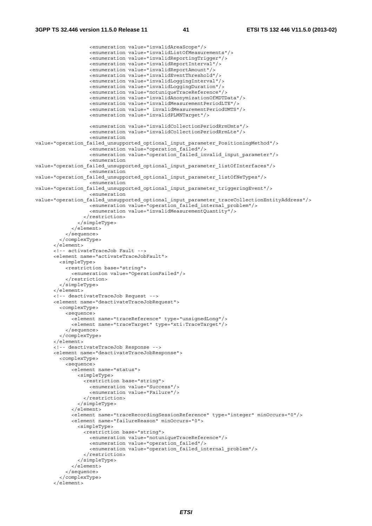```
 <enumeration value="invalidAreaScope"/> 
                    <enumeration value="invalidListOfMeasurements"/> 
                    <enumeration value="invalidReportingTrigger"/> 
                    <enumeration value="invalidReportInterval"/> 
                    <enumeration value="invalidReportAmount"/> 
                    <enumeration value="invalidEventThreshold"/> 
                    <enumeration value="invalidLoggingInterval"/> 
                    <enumeration value="invalidLoggingDuration"/> 
                    <enumeration value="notuniqueTraceReference"/> 
                    <enumeration value="invalidAnonymizationOfMDTData"/> 
                    <enumeration value="invalidMeasurementPeriodLTE"/> 
                    <enumeration value=" invalidMeasurementPeriodUMTS"/> 
                    <enumeration value="invalidPLMNTarget"/> 
                    <enumeration value="invalidCollectionPeriodRrmUmts"/> 
                    <enumeration value="invalidCollectionPeriodRrmLte"/> 
                    <enumeration 
value="operation failed unsupported optional input parameter PositioningMethod"/>
                    <enumeration value="operation_failed"/> 
                    <enumeration value="operation_failed_invalid_input_parameter"/> 
                    <enumeration 
value="operation failed unsupported optional input parameter listOfInterfaces"/>
                    <enumeration 
value="operation failed unsupported optional input parameter listOfNeTypes"/>
                    <enumeration 
value="operation failed unsupported optional input parameter triggeringEvent"/>
                    <enumeration 
value="operation_failed_unsupported_optional_input_parameter_traceCollectionEntityAddress"/> 
                   \frac{1}{2} - \frac{1}{2} - \frac{1}{2} operation failed internal problem"/>
                    <enumeration value="invalidMeasurementQuantity"/> 
                  </restriction> 
                </simpleType> 
              </element> 
            </sequence> 
         </complexType> 
       </element> 
       <!-- activateTraceJob Fault --> 
       <element name="activateTraceJobFault"> 
         <simpleType> 
           <restriction base="string"> 
              <enumeration value="OperationFailed"/> 
            </restriction> 
         </simpleType> 
       </element> 
       <!-- deactivateTraceJob Request --> 
       <element name="deactivateTraceJobRequest"> 
         <complexType> 
           <sequence> 
              <element name="traceReference" type="unsignedLong"/> 
              <element name="traceTarget" type="xti:TraceTarget"/> 
            </sequence> 
         </complexType> 
       </element> 
       <!-- deactivateTraceJob Response --> 
       <element name="deactivateTraceJobResponse"> 
         <complexType> 
           <sequence> 
             <element name="status"> 
                <simpleType> 
                  <restriction base="string"> 
                    <enumeration value="Success"/> 
                    <enumeration value="Failure"/> 
                  </restriction> 
                </simpleType> 
             \epsilon/elements
              <element name="traceRecordingSessionReference" type="integer" minOccurs="0"/> 
              <element name="failureReason" minOccurs="0"> 
                <simpleType> 
                  <restriction base="string"> 
                    <enumeration value="notuniqueTraceReference"/> 
                    <enumeration value="operation_failed"/> 
                    <enumeration value="operation_failed_internal_problem"/> 
                  </restriction> 
                </simpleType> 
              </element> 
            </sequence> 
         </complexType>
```

```
 </element>
```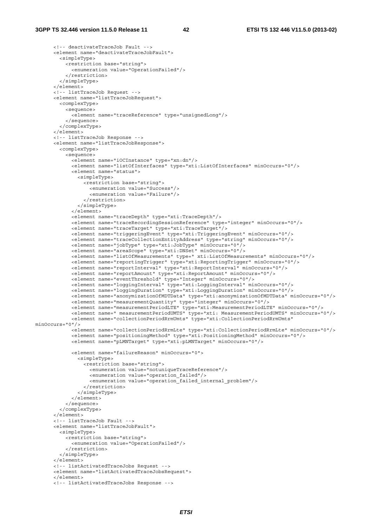```
 <!-- deactivateTraceJob Fault --> 
       <element name="deactivateTraceJobFault"> 
         <simpleType> 
           <restriction base="string"> 
             <enumeration value="OperationFailed"/> 
           </restriction> 
         </simpleType> 
       </element> 
       <!-- listTraceJob Request --> 
       <element name="listTraceJobRequest"> 
         <complexType> 
           <sequence> 
             <element name="traceReference" type="unsignedLong"/> 
           </sequence> 
         </complexType> 
       </element> 
       <!-- listTraceJob Response --> 
       <element name="listTraceJobResponse"> 
         <complexType> 
           <sequence> 
             <element name="iOCInstance" type="xn:dn"/> 
             <element name="listOfInterfaces" type="xti:ListOfInterfaces" minOccurs="0"/> 
             <element name="status"> 
                <simpleType> 
                  <restriction base="string"> 
                    <enumeration value="Success"/> 
                    <enumeration value="Failure"/> 
                  </restriction> 
                </simpleType> 
             \ge/element\sim <element name="traceDepth" type="xti:TraceDepth"/> 
             <element name="traceRecordingSessionReference" type="integer" minOccurs="0"/> 
             <element name="traceTarget" type="xti:TraceTarget"/> 
             <element name="triggeringEvent" type="xti:TriggeringEvent" minOccurs="0"/> 
             <element name="traceCollectionEntityAddress" type="string" minOccurs="0"/> 
              <element name="jobType" type="xti:JobType" minOccurs="0"/> 
             <element name="areaScope" type="xti:DNSet" minOccurs="0"/> 
             <element name="listOfMeasurements" type=" xti:ListOfMeasurements" minOccurs="0"/> 
             <element name="reportingTrigger" type="xti:ReportingTrigger" minOccurs="0"/> 
             <element name="reportInterval" type="xti:ReportInterval" minOccurs="0"/> 
             <element name="reportAmount" type="xti:ReportAmount" minOccurs="0"/> 
             <element name="eventThreshold" type="Integer" minOccurs="0"/> 
             <element name="loggingInterval" type="xti:LoggingInterval" minOccurs="0"/> 
             <element name="loggingDuration" type="xti:LoggingDuration" minOccurs="0"/> 
             <element name="anonymizationOfMDTData" type="xti:anonymizationOfMDTData" minOccurs="0"/> 
             <element name="measurementQuantity" type="integer" minOccurs="0"/> 
             <element name="measurementPeriodLTE" type="xti:MeasurementPeriodLTE" minOccurs="0"/> 
             <element name=" measurementPeriodUMTS" type="xti: MeasurementPeriodUMTS" minOccurs="0"/> 
              <element name="collectionPeriodRrmUmts" type="xti:CollectionPeriodRrmUmts" 
minOccurs="0"/> 
             <element name="collectionPeriodRrmLte" type="xti:CollectionPeriodRrmLte" minOccurs="0"/> 
             <element name="positioningMethod" type="xti:PositioningMethod" minOccurs="0"/> 
             <element name="pLMNTarget" type="xti:pLMNTarget" minOccurs="0"/> 
             <element name="failureReason" minOccurs="0"> 
                <simpleType> 
                  <restriction base="string"> 
                    <enumeration value="notuniqueTraceReference"/> 
                    <enumeration value="operation_failed"/> 
                    <enumeration value="operation_failed_internal_problem"/> 
                  </restriction> 
                </simpleType> 
              </element> 
           </sequence> 
         </complexType> 
       </element> 
       <!-- listTraceJob Fault --> 
       <element name="listTraceJobFault"> 
         <simpleType> 
           <restriction base="string"> 
             <enumeration value="OperationFailed"/> 
           </restriction> 
         </simpleType> 
       </element> 
       <!-- listActivatedTraceJobs Request --> 
       <element name="listActivatedTraceJobsRequest"> 
      \geq/element\sim <!-- listActivatedTraceJobs Response -->
```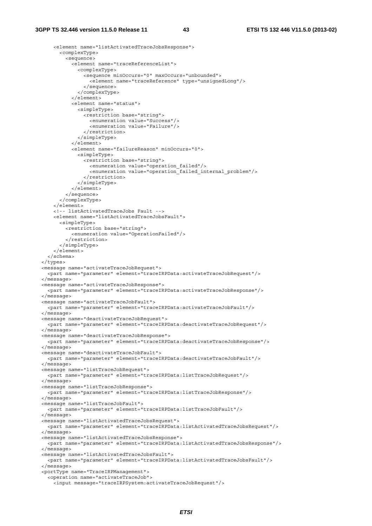```
 <element name="listActivatedTraceJobsResponse"> 
       <complexType> 
         <sequence> 
           <element name="traceReferenceList"> 
              <complexType> 
                <sequence minOccurs="0" maxOccurs="unbounded"> 
                  <element name="traceReference" type="unsignedLong"/> 
                </sequence> 
              </complexType> 
            </element> 
           <element name="status"> 
              <simpleType> 
                <restriction base="string"> 
                  <enumeration value="Success"/> 
                  <enumeration value="Failure"/> 
                </restriction> 
              </simpleType> 
            </element> 
           <element name="failureReason" minOccurs="0"> 
             <simpleType> 
                <restriction base="string"> 
                  <enumeration value="operation_failed"/> 
                  <enumeration value="operation_failed_internal_problem"/> 
                </restriction> 
              </simpleType> 
            </element> 
         </sequence> 
       </complexType> 
     </element> 
     <!-- listActivatedTraceJobs Fault --> 
     <element name="listActivatedTraceJobsFault"> 
       <simpleType> 
         <restriction base="string"> 
           <enumeration value="OperationFailed"/> 
         </restriction> 
       </simpleType> 
     </element> 
   </schema> 
 </types> 
 <message name="activateTraceJobRequest"> 
   <part name="parameter" element="traceIRPData:activateTraceJobRequest"/> 
 </message> 
 <message name="activateTraceJobResponse"> 
   <part name="parameter" element="traceIRPData:activateTraceJobResponse"/> 
 </message> 
 <message name="activateTraceJobFault"> 
   <part name="parameter" element="traceIRPData:activateTraceJobFault"/> 
 </message> 
 <message name="deactivateTraceJobRequest"> 
   <part name="parameter" element="traceIRPData:deactivateTraceJobRequest"/> 
 </message> 
 <message name="deactivateTraceJobResponse"> 
   <part name="parameter" element="traceIRPData:deactivateTraceJobResponse"/> 
 </message> 
 <message name="deactivateTraceJobFault"> 
   <part name="parameter" element="traceIRPData:deactivateTraceJobFault"/> 
 </message> 
 <message name="listTraceJobRequest"> 
   <part name="parameter" element="traceIRPData:listTraceJobRequest"/> 
 </message> 
 <message name="listTraceJobResponse"> 
   <part name="parameter" element="traceIRPData:listTraceJobResponse"/> 
 </message> 
 <message name="listTraceJobFault"> 
   <part name="parameter" element="traceIRPData:listTraceJobFault"/> 
 </message> 
 <message name="listActivatedTraceJobsRequest"> 
   <part name="parameter" element="traceIRPData:listActivatedTraceJobsRequest"/> 
 </message> 
 <message name="listActivatedTraceJobsResponse"> 
   <part name="parameter" element="traceIRPData:listActivatedTraceJobsResponse"/> 
 </message> 
 <message name="listActivatedTraceJobsFault"> 
   <part name="parameter" element="traceIRPData:listActivatedTraceJobsFault"/> 
 </message> 
 <portType name="TraceIRPManagement"> 
   <operation name="activateTraceJob"> 
     <input message="traceIRPSystem:activateTraceJobRequest"/>
```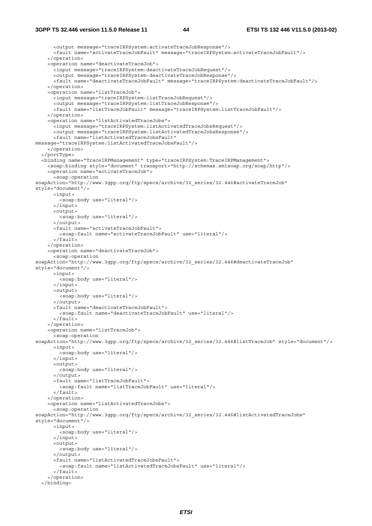<output message="traceIRPSystem:activateTraceJobResponse"/> <fault name="activateTraceJobFault" message="traceIRPSystem:activateTraceJobFault"/> </operation> <operation name="deactivateTraceJob"> <input message="traceIRPSystem:deactivateTraceJobRequest"/> <output message="traceIRPSystem:deactivateTraceJobResponse"/> <fault name="deactivateTraceJobFault" message="traceIRPSystem:deactivateTraceJobFault"/> </operation> <operation name="listTraceJob"> <input message="traceIRPSystem:listTraceJobRequest"/> <output message="traceIRPSystem:listTraceJobResponse"/> <fault name="listTraceJobFault" message="traceIRPSystem:listTraceJobFault"/> </operation> <operation name="listActivatedTraceJobs"> <input message="traceIRPSystem:listActivatedTraceJobsRequest"/> <output message="traceIRPSystem:listActivatedTraceJobsResponse"/> <fault name="listActivatedTraceJobsFault" message="traceIRPSystem:listActivatedTraceJobsFault"/> </operation> </portType> <binding name="TraceIRPManagement" type="traceIRPSystem:TraceIRPManagement"> <soap:binding style="document" transport="http://schemas.xmlsoap.org/soap/http"/> <operation name="activateTraceJob"> <soap:operation soapAction="http://www.3qpp.org/ftp/specs/archive/32\_series/32.446#activateTraceJob" style="document"/> <input> <soap:body use="literal"/> </input> <output> <soap:body use="literal"/> </output> <fault name="activateTraceJobFault"> <soap:fault name="activateTraceJobFault" use="literal"/> </fault> </operation> <operation name="deactivateTraceJob"> <soap:operation soapAction="http://www.3gpp.org/ftp/specs/archive/32\_series/32.446#deactivateTraceJob" style="document"/> <input> <soap:body use="literal"/>  $\epsilon$ /input> <output> <soap:body use="literal"/> </output> <fault name="deactivateTraceJobFault"> <soap:fault name="deactivateTraceJobFault" use="literal"/> </fault> </operation> <operation name="listTraceJob"> <soap:operation soapAction="http://www.3gpp.org/ftp/specs/archive/32\_series/32.446#listTraceJob" style="document"/> <input> <soap:body use="literal"/> </input> <output> <soap:body use="literal"/> </output> <fault name="listTraceJobFault"> <soap:fault name="listTraceJobFault" use="literal"/> </fault> </operation> <operation name="listActivatedTraceJobs"> <soap:operation soapAction="http://www.3gpp.org/ftp/specs/archive/32\_series/32.446#listActivatedTraceJobs" style="document"/> <input> <soap:body use="literal"/> </input> <output> <soap:body use="literal"/> </output> <fault name="listActivatedTraceJobsFault"> <soap:fault name="listActivatedTraceJobsFault" use="literal"/> </fault> </operation> </binding>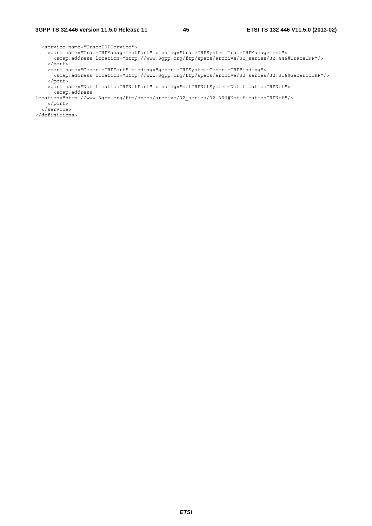<service name="TraceIRPService"> <port name="TraceIRPManagementPort" binding="traceIRPSystem:TraceIRPManagement"> <soap:address location="http://www.3gpp.org/ftp/specs/archive/32\_series/32.446#TraceIRP"/> </port> <port name="GenericIRPPort" binding="genericIRPSystem:GenericIRPBinding"> <soap:address location="http://www.3gpp.org/ftp/specs/archive/32\_series/32.316#GenericIRP"/> </port> <port name="NotificationIRPNtfPort" binding="ntfIRPNtfSystem:NotificationIRPNtf"> <soap:address location="http://www.3gpp.org/ftp/specs/archive/32\_series/32.306#NotificationIRPNtf"/> </port> </service> </definitions>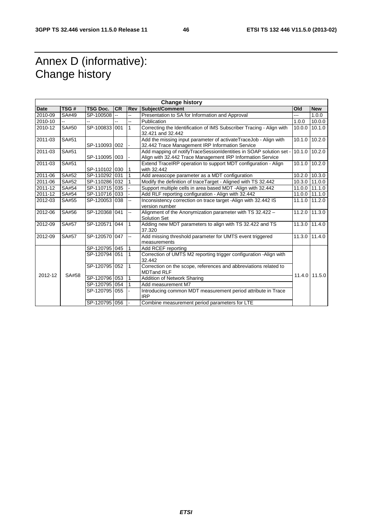## Annex D (informative): Change history

| <b>Change history</b> |       |                 |           |                |                                                                                                                                  |        |               |
|-----------------------|-------|-----------------|-----------|----------------|----------------------------------------------------------------------------------------------------------------------------------|--------|---------------|
| Date                  | TSG#  | <b>TSG Doc.</b> | <b>CR</b> | <b>Rev</b>     | Subject/Comment                                                                                                                  | Old    | <b>New</b>    |
| 2010-09               | SA#49 | SP-100508       | Ξ.        | --             | Presentation to SA for Information and Approval                                                                                  | ---    | 1.0.0         |
| 2010-10               |       |                 |           | 44             | Publication                                                                                                                      | 1.0.0  | 10.0.0        |
| 2010-12               | SA#50 | SP-100833 001   |           | $\overline{1}$ | Correcting the Identification of IMS Subscriber Tracing - Align with<br>32.421 and 32.442                                        | 10.0.0 | 10.1.0        |
| 2011-03               | SA#51 | SP-110093 002   |           | $\blacksquare$ | Add the missing input parameter of activateTraceJob - Align with<br>32.442 Trace Management IRP Information Service              | 10.1.0 | 10.2.0        |
| 2011-03               | SA#51 | SP-110095 003   |           |                | Add mapping of notifyTraceSessionIdentities in SOAP solution set -<br>Align with 32.442 Trace Management IRP Information Service |        | 10.1.0 10.2.0 |
| 2011-03               | SA#51 | SP-110102 030   |           | $\overline{1}$ | Extend TraceIRP operation to support MDT configuration - Align<br>with 32.442                                                    |        | 10.1.0 10.2.0 |
| 2011-06               | SA#52 | SP-110292 031   |           | 1              | Add areascope parameter as a MDT configuration                                                                                   |        | 10.2.0 10.3.0 |
| 2011-06               | SA#52 | SP-110286 032   |           | 1              | Modify the definition of traceTarget - Aligned with TS 32.442                                                                    | 10.3.0 | 11.0.0        |
| 2011-12               | SA#54 | SP-110715 035   |           |                | Support multiple cells in area based MDT -Align with 32.442                                                                      | 11.0.0 | 11.1.0        |
| 2011-12               | SA#54 | SP-110716 033   |           |                | Add RLF reporting configuration - Align with 32.442                                                                              | 11.0.0 | 11.1.0        |
| 2012-03               | SA#55 | SP-120053 038   |           | 44             | Inconsistency correction on trace target -Align with 32.442 IS<br>version number                                                 | 11.1.0 | 11.2.0        |
| 2012-06               | SA#56 | SP-120368 041   |           | ц,             | Alignment of the Anonymization parameter with TS 32.422 -<br><b>Solution Set</b>                                                 |        | 11.2.0 11.3.0 |
| 2012-09               | SA#57 | SP-120571 044   |           | $\overline{1}$ | Adding new MDT parameters to align with TS 32.422 and TS<br>37.320                                                               | 11.3.0 | 11.4.0        |
| 2012-09               | SA#57 | SP-120570 047   |           | ц.             | Add missing threshold parameter for UMTS event triggered<br>measurements                                                         |        | 11.3.0 11.4.0 |
|                       |       | SP-120795 045   |           | $\overline{1}$ | Add RCEF reporting                                                                                                               |        |               |
|                       |       | SP-120794 051   |           | $\overline{1}$ | Correction of UMTS M2 reporting trigger configuration - Align with<br>32.442                                                     |        |               |
|                       |       | SP-120795 052   |           | 1              | Correction on the scope, references and abbreviations related to<br><b>MDTand RLF</b>                                            |        |               |
| 2012-12               | SA#58 | SP-120796 053   |           | 1              | Addition of Network Sharing                                                                                                      | 11.4.0 | 11.5.0        |
|                       |       | SP-120795 054   |           | $\mathbf{1}$   | Add measurement M7                                                                                                               |        |               |
|                       |       | SP-120795 055   |           |                | Introducing common MDT measurement period attribute in Trace<br><b>IRP</b>                                                       |        |               |
|                       |       | SP-120795 056   |           |                | Combine measurement period parameters for LTE                                                                                    |        |               |